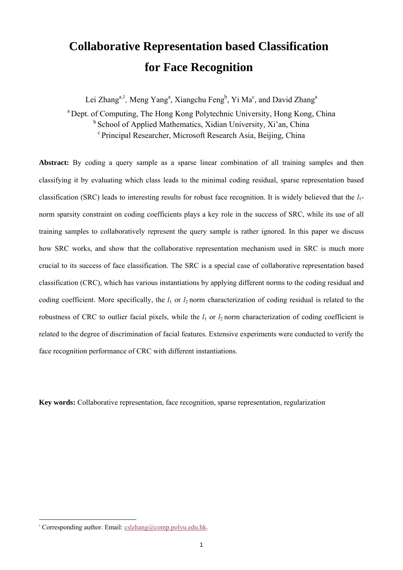# **Collaborative Representation based Classification for Face Recognition**

Lei Zhang<sup>a, 1</sup>, Meng Yang<sup>a</sup>, Xiangchu Feng<sup>b</sup>, Yi Ma<sup>c</sup>, and David Zhang<sup>a</sup>

a Dept. of Computing, The Hong Kong Polytechnic University, Hong Kong, China <sup>b</sup> School of Applied Mathematics, Xidian University, Xi'an, China c Principal Researcher, Microsoft Research Asia, Beijing, China

**Abstract:** By coding a query sample as a sparse linear combination of all training samples and then classifying it by evaluating which class leads to the minimal coding residual, sparse representation based classification (SRC) leads to interesting results for robust face recognition. It is widely believed that the *l*1 norm sparsity constraint on coding coefficients plays a key role in the success of SRC, while its use of all training samples to collaboratively represent the query sample is rather ignored. In this paper we discuss how SRC works, and show that the collaborative representation mechanism used in SRC is much more crucial to its success of face classification. The SRC is a special case of collaborative representation based classification (CRC), which has various instantiations by applying different norms to the coding residual and coding coefficient. More specifically, the  $l_1$  or  $l_2$  norm characterization of coding residual is related to the robustness of CRC to outlier facial pixels, while the  $l_1$  or  $l_2$  norm characterization of coding coefficient is related to the degree of discrimination of facial features. Extensive experiments were conducted to verify the face recognition performance of CRC with different instantiations.

**Key words:** Collaborative representation, face recognition, sparse representation, regularization

<sup>&</sup>lt;sup>1</sup> Corresponding author. Email: cslzhang@comp.polyu.edu.hk.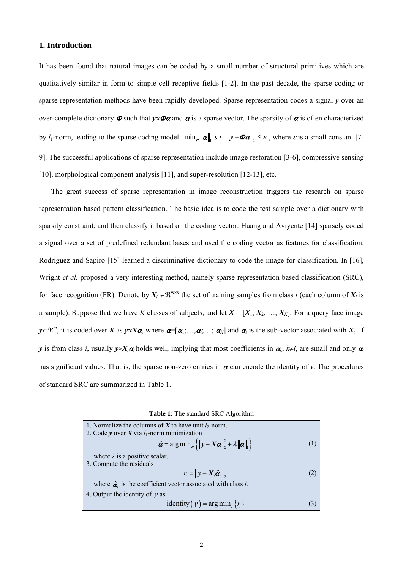## **1. Introduction**

It has been found that natural images can be coded by a small number of structural primitives which are qualitatively similar in form to simple cell receptive fields [1-2]. In the past decade, the sparse coding or sparse representation methods have been rapidly developed. Sparse representation codes a signal *y* over an over-complete dictionary  $\Phi$  such that  $y \approx \Phi \alpha$  and  $\alpha$  is a sparse vector. The sparsity of  $\alpha$  is often characterized by *l*<sub>1</sub>-norm, leading to the sparse coding model:  $\min_{\alpha} ||\alpha||$ , *s.t.*  $||y - \Phi\alpha||$ ,  $\leq \varepsilon$ , where  $\varepsilon$  is a small constant [7-9]. The successful applications of sparse representation include image restoration [3-6], compressive sensing [10], morphological component analysis [11], and super-resolution [12-13], etc.

The great success of sparse representation in image reconstruction triggers the research on sparse representation based pattern classification. The basic idea is to code the test sample over a dictionary with sparsity constraint, and then classify it based on the coding vector. Huang and Aviyente [14] sparsely coded a signal over a set of predefined redundant bases and used the coding vector as features for classification. Rodriguez and Sapiro [15] learned a discriminative dictionary to code the image for classification. In [16], Wright *et al.* proposed a very interesting method, namely sparse representation based classification (SRC), for face recognition (FR). Denote by  $X_i \in \mathbb{R}^{m \times n}$  the set of training samples from class *i* (each column of  $X_i$  is a sample). Suppose that we have *K* classes of subjects, and let  $X = [X_1, X_2, ..., X_K]$ . For a query face image  $y \in \mathbb{R}^m$ , it is coded over *X* as  $y \approx X\alpha$ , where  $\alpha = [\alpha_1; \dots, \alpha_i; \dots; \alpha_K]$  and  $\alpha_i$  is the sub-vector associated with  $X_i$ . If *y* is from class *i*, usually  $y \approx X_i \alpha_i$  holds well, implying that most coefficients in  $\alpha_k$ ,  $k \neq i$ , are small and only  $\alpha_i$ has significant values. That is, the sparse non-zero entries in  $\alpha$  can encode the identity of  $\gamma$ . The procedures of standard SRC are summarized in Table 1.

| <b>Table 1:</b> The standard SRC Algorithm                                                                                                                      |     |
|-----------------------------------------------------------------------------------------------------------------------------------------------------------------|-----|
| 1. Normalize the columns of X to have unit $l_2$ -norm.                                                                                                         |     |
| 2. Code y over X via $l_1$ -norm minimization                                                                                                                   |     |
| $\hat{\boldsymbol{\alpha}} = \arg \min_{\boldsymbol{\alpha}} \{   \mathbf{y} - \boldsymbol{X} \boldsymbol{\alpha}  _2^2 + \lambda   \boldsymbol{\alpha}  _1 \}$ | (1) |
| where $\lambda$ is a positive scalar.                                                                                                                           |     |
| 3. Compute the residuals                                                                                                                                        |     |
| $r_i =   y - X_i \hat{\boldsymbol{\alpha}}_i  _2$                                                                                                               | (2) |
| where $\hat{\alpha}$ is the coefficient vector associated with class <i>i</i> .                                                                                 |     |
| 4. Output the identity of $y$ as                                                                                                                                |     |
| identity $(y)$ = arg min, $\{r_i\}$                                                                                                                             | 3   |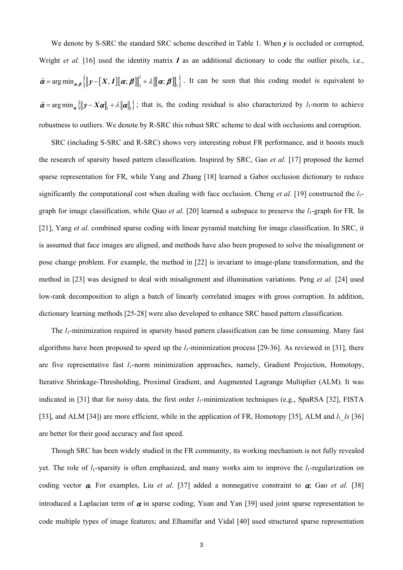We denote by S-SRC the standard SRC scheme described in Table 1. When *v* is occluded or corrupted, Wright *et al.* [16] used the identity matrix  $\boldsymbol{I}$  as an additional dictionary to code the outlier pixels, i.e.,  $\hat{\alpha} = \arg \min_{\alpha, \beta} \left\{ ||y - [X, I][\alpha; \beta] \right\|_2^2 + \lambda ||\alpha; \beta] ||_1 \right\}$ . It can be seen that this coding model is equivalent to  $\hat{\alpha}$  = arg min<sub>α</sub> { $||y - X\alpha||_1 + \lambda ||\alpha||_1$ }; that is, the coding residual is also characterized by *l*<sub>1</sub>-norm to achieve robustness to outliers. We denote by R-SRC this robust SRC scheme to deal with occlusions and corruption.

SRC (including S-SRC and R-SRC) shows very interesting robust FR performance, and it boosts much the research of sparsity based pattern classification. Inspired by SRC, Gao *et al.* [17] proposed the kernel sparse representation for FR, while Yang and Zhang [18] learned a Gabor occlusion dictionary to reduce significantly the computational cost when dealing with face occlusion. Cheng *et al.* [19] constructed the *l*<sub>1</sub>graph for image classification, while Qiao *et al.* [20] learned a subspace to preserve the  $l_1$ -graph for FR. In [21], Yang *et al.* combined sparse coding with linear pyramid matching for image classification. In SRC, it is assumed that face images are aligned, and methods have also been proposed to solve the misalignment or pose change problem. For example, the method in [22] is invariant to image-plane transformation, and the method in [23] was designed to deal with misalignment and illumination variations. Peng *et al.* [24] used low-rank decomposition to align a batch of linearly correlated images with gross corruption. In addition, dictionary learning methods [25-28] were also developed to enhance SRC based pattern classification.

The *l*<sub>1</sub>-minimization required in sparsity based pattern classification can be time consuming. Many fast algorithms have been proposed to speed up the *l*<sub>1</sub>-minimization process [29-36]. As reviewed in [31], there are five representative fast *l*<sub>1</sub>-norm minimization approaches, namely, Gradient Projection, Homotopy, Iterative Shrinkage-Thresholding, Proximal Gradient, and Augmented Lagrange Multiplier (ALM). It was indicated in [31] that for noisy data, the first order  $l_1$ -minimization techniques (e.g., SpaRSA [32], FISTA [33], and ALM [34]) are more efficient, while in the application of FR, Homotopy [35], ALM and  $l_1$   $ls$  [36] are better for their good accuracy and fast speed.

Though SRC has been widely studied in the FR community, its working mechanism is not fully revealed yet. The role of  $l_1$ -sparsity is often emphasized, and many works aim to improve the  $l_1$ -regularization on coding vector  $\alpha$ . For examples, Liu *et al.* [37] added a nonnegative constraint to  $\alpha$ ; Gao *et al.* [38] introduced a Laplacian term of  $\alpha$  in sparse coding; Yuan and Yan [39] used joint sparse representation to code multiple types of image features; and Elhamifar and Vidal [40] used structured sparse representation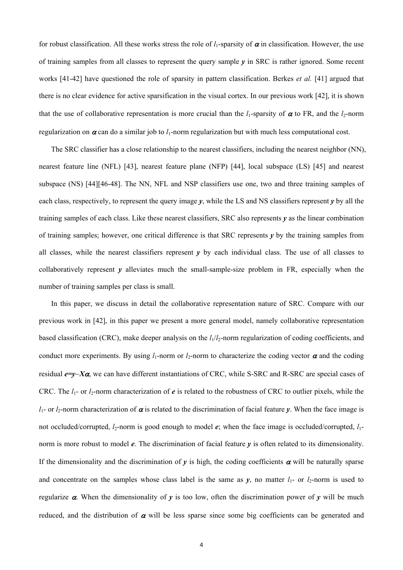for robust classification. All these works stress the role of  $l_1$ -sparsity of  $\alpha$  in classification. However, the use of training samples from all classes to represent the query sample  $\nu$  in SRC is rather ignored. Some recent works [41-42] have questioned the role of sparsity in pattern classification. Berkes *et al.* [41] argued that there is no clear evidence for active sparsification in the visual cortex. In our previous work [42], it is shown that the use of collaborative representation is more crucial than the  $l_1$ -sparsity of  $\alpha$  to FR, and the  $l_2$ -norm regularization on  $\alpha$  can do a similar job to  $l_1$ -norm regularization but with much less computational cost.

The SRC classifier has a close relationship to the nearest classifiers, including the nearest neighbor (NN), nearest feature line (NFL) [43], nearest feature plane (NFP) [44], local subspace (LS) [45] and nearest subspace (NS) [44][46-48]. The NN, NFL and NSP classifiers use one, two and three training samples of each class, respectively, to represent the query image  $\gamma$ , while the LS and NS classifiers represent  $\gamma$  by all the training samples of each class. Like these nearest classifiers, SRC also represents *y* as the linear combination of training samples; however, one critical difference is that SRC represents *y* by the training samples from all classes, while the nearest classifiers represent  $\nu$  by each individual class. The use of all classes to collaboratively represent *y* alleviates much the small-sample-size problem in FR, especially when the number of training samples per class is small.

In this paper, we discuss in detail the collaborative representation nature of SRC. Compare with our previous work in [42], in this paper we present a more general model, namely collaborative representation based classification (CRC), make deeper analysis on the  $l_1/l_2$ -norm regularization of coding coefficients, and conduct more experiments. By using  $l_1$ -norm or  $l_2$ -norm to characterize the coding vector  $\alpha$  and the coding residual *e=y*−*X*α, we can have different instantiations of CRC, while S-SRC and R-SRC are special cases of CRC. The  $l_1$ - or  $l_2$ -norm characterization of  $e$  is related to the robustness of CRC to outlier pixels, while the  $l_1$ - or  $l_2$ -norm characterization of  $\alpha$  is related to the discrimination of facial feature *y*. When the face image is not occluded/corrupted,  $l_2$ -norm is good enough to model  $e$ ; when the face image is occluded/corrupted,  $l_1$ norm is more robust to model *e*. The discrimination of facial feature *y* is often related to its dimensionality. If the dimensionality and the discrimination of  $y$  is high, the coding coefficients  $\alpha$  will be naturally sparse and concentrate on the samples whose class label is the same as  $y$ , no matter  $l_1$ - or  $l_2$ -norm is used to regularize  $\alpha$ . When the dimensionality of *y* is too low, often the discrimination power of *y* will be much reduced, and the distribution of  $\alpha$  will be less sparse since some big coefficients can be generated and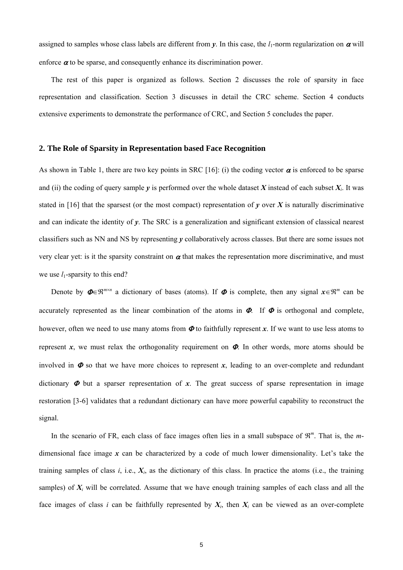assigned to samples whose class labels are different from *y*. In this case, the *l*1-norm regularization on α will enforce  $\alpha$  to be sparse, and consequently enhance its discrimination power.

The rest of this paper is organized as follows. Section 2 discusses the role of sparsity in face representation and classification. Section 3 discusses in detail the CRC scheme. Section 4 conducts extensive experiments to demonstrate the performance of CRC, and Section 5 concludes the paper.

# **2. The Role of Sparsity in Representation based Face Recognition**

As shown in Table 1, there are two key points in SRC [16]: (i) the coding vector  $\alpha$  is enforced to be sparse and (ii) the coding of query sample  $\gamma$  is performed over the whole dataset *X* instead of each subset  $X_i$ . It was stated in [16] that the sparsest (or the most compact) representation of  $\gamma$  over  $X$  is naturally discriminative and can indicate the identity of *y*. The SRC is a generalization and significant extension of classical nearest classifiers such as NN and NS by representing *y* collaboratively across classes. But there are some issues not very clear yet: is it the sparsity constraint on  $\alpha$  that makes the representation more discriminative, and must we use  $l_1$ -sparsity to this end?

Denote by  $\Phi \in \mathbb{R}^{m \times n}$  a dictionary of bases (atoms). If  $\Phi$  is complete, then any signal  $x \in \mathbb{R}^m$  can be accurately represented as the linear combination of the atoms in  $\Phi$ . If  $\Phi$  is orthogonal and complete, however, often we need to use many atoms from  $\Phi$  to faithfully represent  $x$ . If we want to use less atoms to represent *x*, we must relax the orthogonality requirement on  $\Phi$ . In other words, more atoms should be involved in  $\Phi$  so that we have more choices to represent  $x$ , leading to an over-complete and redundant dictionary  $\Phi$  but a sparser representation of x. The great success of sparse representation in image restoration [3-6] validates that a redundant dictionary can have more powerful capability to reconstruct the signal.

In the scenario of FR, each class of face images often lies in a small subspace of  $\mathbb{R}^m$ . That is, the *m*dimensional face image *x* can be characterized by a code of much lower dimensionality. Let's take the training samples of class  $i$ , i.e.,  $X_i$ , as the dictionary of this class. In practice the atoms (i.e., the training samples) of  $X_i$  will be correlated. Assume that we have enough training samples of each class and all the face images of class *i* can be faithfully represented by  $X_i$ , then  $X_i$  can be viewed as an over-complete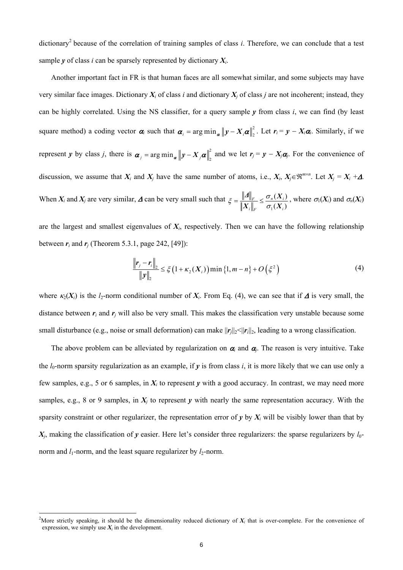dictionary<sup>2</sup> because of the correlation of training samples of class  $i$ . Therefore, we can conclude that a test sample  $\gamma$  of class *i* can be sparsely represented by dictionary  $X_i$ .

Another important fact in FR is that human faces are all somewhat similar, and some subjects may have very similar face images. Dictionary  $X_i$  of class *i* and dictionary  $X_i$  of class *j* are not incoherent; instead, they can be highly correlated. Using the NS classifier, for a query sample  $\nu$  from class *i*, we can find (by least square method) a coding vector  $\alpha_i$  such that  $\alpha_i = \arg \min_{\alpha} ||y - X_i \alpha||_2^2$ . Let  $r_i = y - X_i \alpha_i$ . Similarly, if we represent *y* by class *j*, there is  $\alpha_j = \arg \min_{\alpha} ||y - X_j \alpha||_2^2$  and we let  $r_j = y - X_j \alpha_j$ . For the convenience of discussion, we assume that  $X_i$  and  $X_j$  have the same number of atoms, i.e.,  $X_i$ ,  $X_j \in \mathbb{R}^{m \times n}$ . Let  $X_j = X_i + \Delta$ . When  $X_i$  and  $X_j$  are very similar,  $\Delta$  can be very small such that 1  $(X_i)$  $(X_i)$  $F \sim \frac{O_n(\Lambda)}{n}$  $i \parallel_F$   $\cup_1$   $\Lambda_i$  $\xi = \frac{\|A\|_F}{\|X\|} \leq \frac{\sigma_n(X)}{\sigma_n(X)}$  $\bm{X}_i\big\|_v \equiv \sigma_{\scriptscriptstyle 1}(\bm{X})$ , where  $\sigma_1(X_i)$  and  $\sigma_n(X_i)$ 

are the largest and smallest eigenvalues of  $X_i$ , respectively. Then we can have the following relationship between  $r_i$  and  $r_j$  (Theorem 5.3.1, page 242, [49]):

$$
\frac{\|\mathbf{r}_j - \mathbf{r}_i\|_2}{\|\mathbf{y}\|_2} \le \xi \left(1 + \kappa_2(\mathbf{X}_i)\right) \min\left\{1, m - n\right\} + O\left(\xi^2\right) \tag{4}
$$

where  $\kappa_2(X_i)$  is the *l*<sub>2</sub>-norm conditional number of  $X_i$ . From Eq. (4), we can see that if  $\Delta$  is very small, the distance between  $r_i$  and  $r_j$  will also be very small. This makes the classification very unstable because some small disturbance (e.g., noise or small deformation) can make  $||\mathbf{r}_i||_2 < ||\mathbf{r}_i||_2$ , leading to a wrong classification.

The above problem can be alleviated by regularization on  $\alpha_i$  and  $\alpha_j$ . The reason is very intuitive. Take the  $l_0$ -norm sparsity regularization as an example, if  $\gamma$  is from class *i*, it is more likely that we can use only a few samples, e.g., 5 or 6 samples, in  $X_i$  to represent  $\gamma$  with a good accuracy. In contrast, we may need more samples, e.g., 8 or 9 samples, in  $X_i$  to represent  $\gamma$  with nearly the same representation accuracy. With the sparsity constraint or other regularizer, the representation error of  $y$  by  $X_i$  will be visibly lower than that by  $X_i$ , making the classification of *y* easier. Here let's consider three regularizers: the sparse regularizers by  $l_0$ norm and  $l_1$ -norm, and the least square regularizer by  $l_2$ -norm.

<sup>&</sup>lt;sup>2</sup>More strictly speaking, it should be the dimensionality reduced dictionary of  $X_i$  that is over-complete. For the convenience of expression, we simply use  $X_i$  in the development.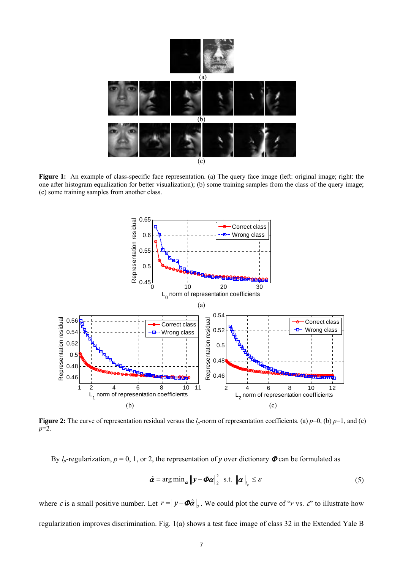

**Figure 1:** An example of class-specific face representation. (a) The query face image (left: original image; right: the one after histogram equalization for better visualization); (b) some training samples from the class of the query image; (c) some training samples from another class.



**Figure 2:** The curve of representation residual versus the  $l_p$ -norm of representation coefficients. (a)  $p=0$ , (b)  $p=1$ , and (c) *p*=2.

By  $l_p$ -regularization,  $p = 0, 1$ , or 2, the representation of *y* over dictionary  $\Phi$  can be formulated as

$$
\hat{\alpha} = \arg \min_{\alpha} \|\mathbf{y} - \mathbf{\Phi}\alpha\|_{2}^{2} \text{ s.t. } \|\alpha\|_{l_{p}} \leq \varepsilon
$$
\n(5)

where  $\varepsilon$  is a small positive number. Let  $r = ||y - \Phi \hat{\alpha}||$ . We could plot the curve of "*r* vs.  $\varepsilon$ " to illustrate how regularization improves discrimination. Fig. 1(a) shows a test face image of class 32 in the Extended Yale B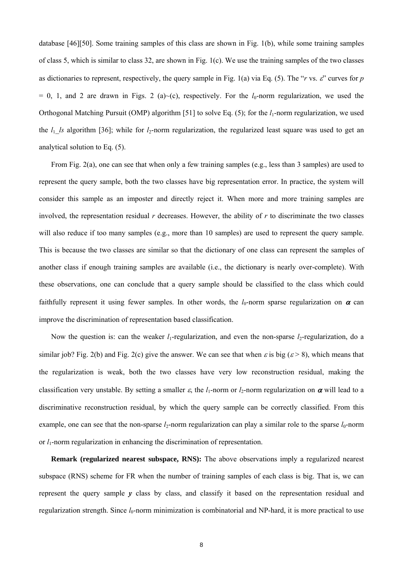database [46][50]. Some training samples of this class are shown in Fig. 1(b), while some training samples of class 5, which is similar to class 32, are shown in Fig. 1(c). We use the training samples of the two classes as dictionaries to represent, respectively, the query sample in Fig. 1(a) via Eq. (5). The "*r* vs.  $\varepsilon$ " curves for *p*  $= 0$ , 1, and 2 are drawn in Figs. 2 (a)~(c), respectively. For the  $l_0$ -norm regularization, we used the Orthogonal Matching Pursuit (OMP) algorithm [51] to solve Eq. (5); for the *l*<sub>1</sub>-norm regularization, we used the  $l_1$  *ls* algorithm [36]; while for  $l_2$ -norm regularization, the regularized least square was used to get an analytical solution to Eq. (5).

From Fig. 2(a), one can see that when only a few training samples (e.g., less than 3 samples) are used to represent the query sample, both the two classes have big representation error. In practice, the system will consider this sample as an imposter and directly reject it. When more and more training samples are involved, the representation residual  $r$  decreases. However, the ability of  $r$  to discriminate the two classes will also reduce if too many samples (e.g., more than 10 samples) are used to represent the query sample. This is because the two classes are similar so that the dictionary of one class can represent the samples of another class if enough training samples are available (i.e., the dictionary is nearly over-complete). With these observations, one can conclude that a query sample should be classified to the class which could faithfully represent it using fewer samples. In other words, the  $l_0$ -norm sparse regularization on  $\alpha$  can improve the discrimination of representation based classification.

Now the question is: can the weaker  $l_1$ -regularization, and even the non-sparse  $l_2$ -regularization, do a similar job? Fig. 2(b) and Fig. 2(c) give the answer. We can see that when  $\varepsilon$  is big ( $\varepsilon > 8$ ), which means that the regularization is weak, both the two classes have very low reconstruction residual, making the classification very unstable. By setting a smaller  $\varepsilon$ , the *l*<sub>1</sub>-norm or *l*<sub>2</sub>-norm regularization on  $\alpha$  will lead to a discriminative reconstruction residual, by which the query sample can be correctly classified. From this example, one can see that the non-sparse  $l_2$ -norm regularization can play a similar role to the sparse  $l_0$ -norm or *l*1-norm regularization in enhancing the discrimination of representation.

**Remark (regularized nearest subspace, RNS):** The above observations imply a regularized nearest subspace (RNS) scheme for FR when the number of training samples of each class is big. That is, we can represent the query sample *y* class by class, and classify it based on the representation residual and regularization strength. Since  $l_0$ -norm minimization is combinatorial and NP-hard, it is more practical to use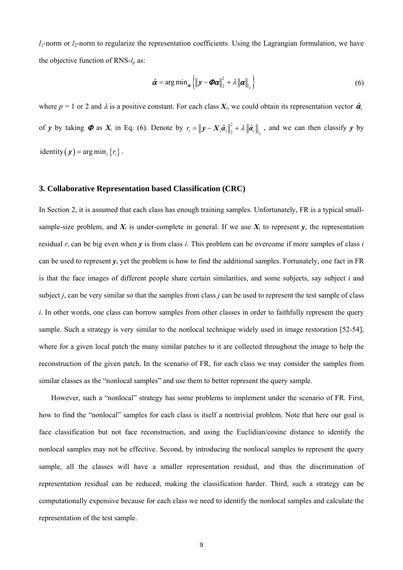$l_1$ -norm or  $l_2$ -norm to regularize the representation coefficients. Using the Lagrangian formulation, we have the objective function of RNS-*lp* as:

$$
\hat{\alpha} = \arg\min_{\alpha} \left\{ \left\| \mathbf{y} - \boldsymbol{\Phi}\boldsymbol{\alpha} \right\|_{2}^{2} + \lambda \left\| \boldsymbol{\alpha} \right\|_{l_{p}} \right\}
$$
(6)

where  $p = 1$  or 2 and  $\lambda$  is a positive constant. For each class  $X_i$ , we could obtain its representation vector  $\hat{\alpha}_i$ of *y* by taking  $\Phi$  as  $X_i$  in Eq. (6). Denote by  $r_i = ||y - X_i \hat{a}_i||_2^2 + \lambda ||\hat{a}_i||_{l_p}$ , and we can then classify *y* by identity  $(\mathbf{y}) = \arg \min_{i} \{ r_i \}.$ 

# **3. Collaborative Representation based Classification (CRC)**

In Section 2, it is assumed that each class has enough training samples. Unfortunately, FR is a typical smallsample-size problem, and  $X_i$  is under-complete in general. If we use  $X_i$  to represent  $y$ , the representation residual *ri* can be big even when *y* is from class *i*. This problem can be overcome if more samples of class *i* can be used to represent *y*, yet the problem is how to find the additional samples. Fortunately, one fact in FR is that the face images of different people share certain similarities, and some subjects, say subject *i* and subject *j*, can be very similar so that the samples from class *j* can be used to represent the test sample of class *i*. In other words, one class can borrow samples from other classes in order to faithfully represent the query sample. Such a strategy is very similar to the nonlocal technique widely used in image restoration [52-54], where for a given local patch the many similar patches to it are collected throughout the image to help the reconstruction of the given patch. In the scenario of FR, for each class we may consider the samples from similar classes as the "nonlocal samples" and use them to better represent the query sample.

However, such a "nonlocal" strategy has some problems to implement under the scenario of FR. First, how to find the "nonlocal" samples for each class is itself a nontrivial problem. Note that here our goal is face classification but not face reconstruction, and using the Euclidian/cosine distance to identify the nonlocal samples may not be effective. Second, by introducing the nonlocal samples to represent the query sample, all the classes will have a smaller representation residual, and thus the discrimination of representation residual can be reduced, making the classification harder. Third, such a strategy can be computationally expensive because for each class we need to identify the nonlocal samples and calculate the representation of the test sample.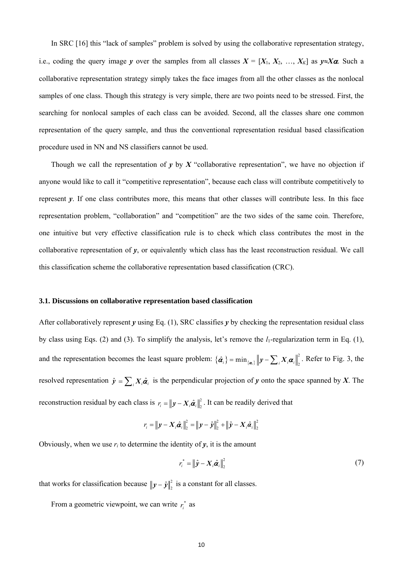In SRC [16] this "lack of samples" problem is solved by using the collaborative representation strategy, i.e., coding the query image *y* over the samples from all classes  $X = [X_1, X_2, ..., X_K]$  as  $y \approx X\alpha$ . Such a collaborative representation strategy simply takes the face images from all the other classes as the nonlocal samples of one class. Though this strategy is very simple, there are two points need to be stressed. First, the searching for nonlocal samples of each class can be avoided. Second, all the classes share one common representation of the query sample, and thus the conventional representation residual based classification procedure used in NN and NS classifiers cannot be used.

Though we call the representation of  $y$  by  $X$  "collaborative representation", we have no objection if anyone would like to call it "competitive representation", because each class will contribute competitively to represent *y*. If one class contributes more, this means that other classes will contribute less. In this face representation problem, "collaboration" and "competition" are the two sides of the same coin. Therefore, one intuitive but very effective classification rule is to check which class contributes the most in the collaborative representation of *y*, or equivalently which class has the least reconstruction residual. We call this classification scheme the collaborative representation based classification (CRC).

## **3.1. Discussions on collaborative representation based classification**

After collaboratively represent  $\gamma$  using Eq. (1), SRC classifies  $\gamma$  by checking the representation residual class by class using Eqs. (2) and (3). To simplify the analysis, let's remove the  $l_1$ -regularization term in Eq. (1), and the representation becomes the least square problem:  $\{\hat{\alpha}_i\} = \min_{\{\alpha_i\}} ||y - \sum_i X_i \alpha_i||_2^2$  $\hat{\alpha}_i$ } = min<sub>{ $\alpha_i$ }</sub>  $\|\mathbf{y} - \sum_i X_i \alpha_i\|_2^2$ . Refer to Fig. 3, the resolved representation  $\hat{y} = \sum_i X_i \hat{\alpha}_i$  is the perpendicular projection of *y* onto the space spanned by *X*. The reconstruction residual by each class is  $r_i = ||y - X_i \hat{a}_i||_2^2$ . It can be readily derived that

$$
r_i = ||y - X_i \hat{a}_i||_2^2 = ||y - \hat{y}||_2^2 + ||\hat{y} - X_i \hat{a}_i||_2^2
$$

Obviously, when we use  $r_i$  to determine the identity of  $\gamma$ , it is the amount

$$
r_i^* = \left\| \hat{\mathbf{y}} - \mathbf{X}_i \hat{\boldsymbol{a}}_i \right\|_2^2 \tag{7}
$$

that works for classification because  $||y - \hat{y}||_2^2$  is a constant for all classes.

From a geometric viewpoint, we can write  $r_i^*$  as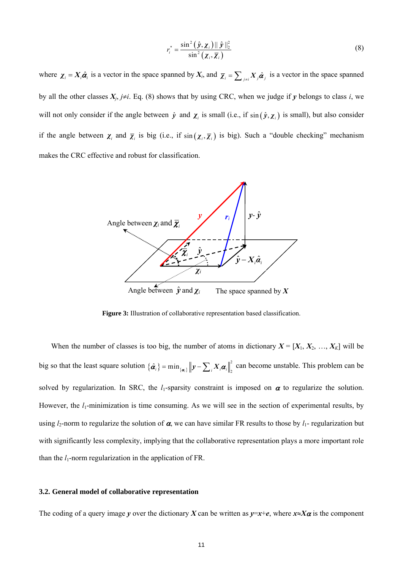$$
r_i^* = \frac{\sin^2\left(\hat{\mathbf{y}}, \mathbf{X}_i\right) || \hat{\mathbf{y}} ||_2^2}{\sin^2\left(\mathbf{X}_i, \overline{\mathbf{X}}_i\right)}
$$
(8)

where  $\chi_i = X_i \hat{\alpha}_i$  is a vector in the space spanned by  $X_i$ , and  $\overline{\chi}_i = \sum_{j \neq i} X_j \hat{\alpha}_j$  is a vector in the space spanned by all the other classes  $X_i$ ,  $j\neq i$ . Eq. (8) shows that by using CRC, when we judge if *y* belongs to class *i*, we will not only consider if the angle between  $\hat{y}$  and  $\chi_i$  is small (i.e., if  $\sin(\hat{y}, \chi_i)$  is small), but also consider if the angle between  $\chi_i$  and  $\overline{\chi}_i$  is big (i.e., if  $\sin(\chi_i, \overline{\chi}_i)$  is big). Such a "double checking" mechanism makes the CRC effective and robust for classification.



**Figure 3:** Illustration of collaborative representation based classification.

When the number of classes is too big, the number of atoms in dictionary  $X = [X_1, X_2, ..., X_K]$  will be big so that the least square solution  $\{\hat{\alpha}_i\} = \min_{\{\alpha_i\}} ||y - \sum_i X_i \alpha_i||_2^2$  $\hat{\alpha}_i$ } = min<sub> $\{\alpha_i\}$ </sub>  $\|\mathbf{y} - \sum_i X_i \alpha_i\|^2$  can become unstable. This problem can be solved by regularization. In SRC, the  $l_1$ -sparsity constraint is imposed on  $\alpha$  to regularize the solution. However, the *l*<sub>1</sub>-minimization is time consuming. As we will see in the section of experimental results, by using  $l_2$ -norm to regularize the solution of  $\alpha$ , we can have similar FR results to those by  $l_1$ - regularization but with significantly less complexity, implying that the collaborative representation plays a more important role than the  $l_1$ -norm regularization in the application of FR.

### **3.2. General model of collaborative representation**

The coding of a query image *y* over the dictionary *X* can be written as  $y=x+e$ , where  $x\approx X\alpha$  is the component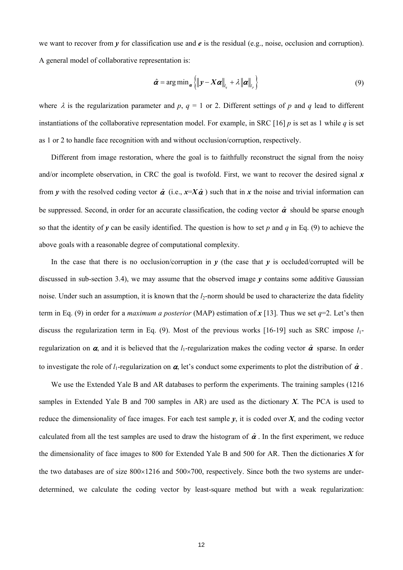we want to recover from *y* for classification use and *e* is the residual (e.g., noise, occlusion and corruption). A general model of collaborative representation is:

$$
\hat{\boldsymbol{\alpha}} = \arg \min_{\boldsymbol{\alpha}} \left\{ \left\| \boldsymbol{y} - \boldsymbol{X} \boldsymbol{\alpha} \right\|_{l_q} + \lambda \left\| \boldsymbol{\alpha} \right\|_{l_p} \right\} \tag{9}
$$

where  $\lambda$  is the regularization parameter and  $p$ ,  $q = 1$  or 2. Different settings of  $p$  and  $q$  lead to different instantiations of the collaborative representation model. For example, in SRC [16] *p* is set as 1 while *q* is set as 1 or 2 to handle face recognition with and without occlusion/corruption, respectively.

Different from image restoration, where the goal is to faithfully reconstruct the signal from the noisy and/or incomplete observation, in CRC the goal is twofold. First, we want to recover the desired signal  $x$ from *y* with the resolved coding vector  $\hat{\alpha}$  (i.e.,  $x = X\hat{\alpha}$ ) such that in *x* the noise and trivial information can be suppressed. Second, in order for an accurate classification, the coding vector  $\hat{\alpha}$  should be sparse enough so that the identity of *y* can be easily identified. The question is how to set *p* and *q* in Eq. (9) to achieve the above goals with a reasonable degree of computational complexity.

In the case that there is no occlusion/corruption in  $y$  (the case that  $y$  is occluded/corrupted will be discussed in sub-section 3.4), we may assume that the observed image  $\gamma$  contains some additive Gaussian noise. Under such an assumption, it is known that the  $l_2$ -norm should be used to characterize the data fidelity term in Eq. (9) in order for a *maximum a posterior* (MAP) estimation of x [13]. Thus we set  $q=2$ . Let's then discuss the regularization term in Eq. (9). Most of the previous works [16-19] such as SRC impose  $l_1$ regularization on  $\alpha$ , and it is believed that the *l*<sub>1</sub>-regularization makes the coding vector  $\hat{\alpha}$  sparse. In order to investigate the role of *l*<sub>1</sub>-regularization on  $\alpha$ , let's conduct some experiments to plot the distribution of  $\hat{\alpha}$ .

We use the Extended Yale B and AR databases to perform the experiments. The training samples (1216) samples in Extended Yale B and 700 samples in AR) are used as the dictionary *X*. The PCA is used to reduce the dimensionality of face images. For each test sample  $y$ , it is coded over  $X$ , and the coding vector calculated from all the test samples are used to draw the histogram of  $\hat{\alpha}$ . In the first experiment, we reduce the dimensionality of face images to 800 for Extended Yale B and 500 for AR. Then the dictionaries *X* for the two databases are of size  $800\times1216$  and  $500\times700$ , respectively. Since both the two systems are underdetermined, we calculate the coding vector by least-square method but with a weak regularization: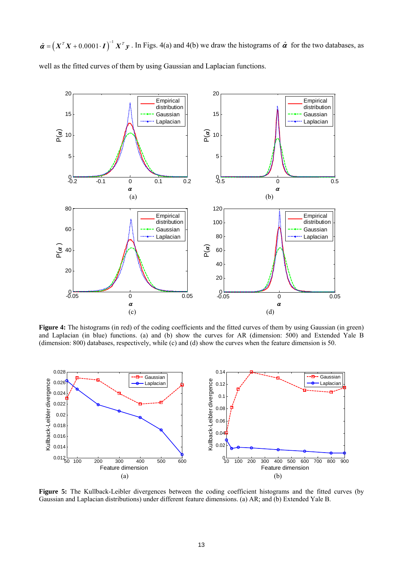$\hat{\boldsymbol{\alpha}} = (X^T X + 0.0001 \cdot \boldsymbol{I})^{-1} X^T \boldsymbol{y}$ . In Figs. 4(a) and 4(b) we draw the histograms of  $\hat{\boldsymbol{\alpha}}$  for the two databases, as well as the fitted curves of them by using Gaussian and Laplacian functions.



Figure 4: The histograms (in red) of the coding coefficients and the fitted curves of them by using Gaussian (in green) and Laplacian (in blue) functions. (a) and (b) show the curves for AR (dimension: 500) and Extended Yale B (dimension: 800) databases, respectively, while (c) and (d) show the curves when the feature dimension is 50.



**Figure 5:** The Kullback-Leibler divergences between the coding coefficient histograms and the fitted curves (by Gaussian and Laplacian distributions) under different feature dimensions. (a) AR; and (b) Extended Yale B.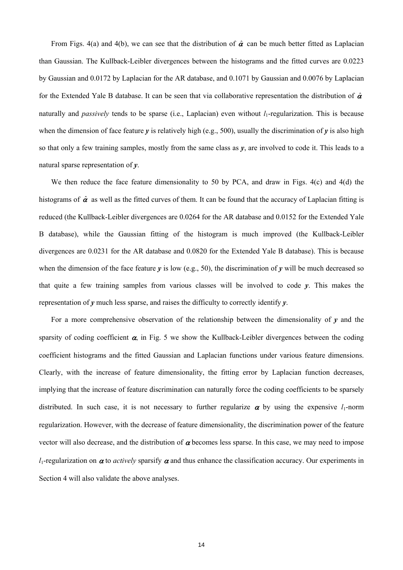From Figs. 4(a) and 4(b), we can see that the distribution of  $\hat{\alpha}$  can be much better fitted as Laplacian than Gaussian. The Kullback-Leibler divergences between the histograms and the fitted curves are 0.0223 by Gaussian and 0.0172 by Laplacian for the AR database, and 0.1071 by Gaussian and 0.0076 by Laplacian for the Extended Yale B database. It can be seen that via collaborative representation the distribution of  $\hat{\alpha}$ naturally and *passively* tends to be sparse (i.e., Laplacian) even without  $l_1$ -regularization. This is because when the dimension of face feature  $\gamma$  is relatively high (e.g., 500), usually the discrimination of  $\gamma$  is also high so that only a few training samples, mostly from the same class as  $\nu$ , are involved to code it. This leads to a natural sparse representation of *y*.

We then reduce the face feature dimensionality to 50 by PCA, and draw in Figs. 4(c) and 4(d) the histograms of  $\hat{\alpha}$  as well as the fitted curves of them. It can be found that the accuracy of Laplacian fitting is reduced (the Kullback-Leibler divergences are 0.0264 for the AR database and 0.0152 for the Extended Yale B database), while the Gaussian fitting of the histogram is much improved (the Kullback-Leibler divergences are 0.0231 for the AR database and 0.0820 for the Extended Yale B database). This is because when the dimension of the face feature *y* is low (e.g., 50), the discrimination of *y* will be much decreased so that quite a few training samples from various classes will be involved to code *y*. This makes the representation of *y* much less sparse, and raises the difficulty to correctly identify *y*.

For a more comprehensive observation of the relationship between the dimensionality of  $\gamma$  and the sparsity of coding coefficient  $\alpha$ , in Fig. 5 we show the Kullback-Leibler divergences between the coding coefficient histograms and the fitted Gaussian and Laplacian functions under various feature dimensions. Clearly, with the increase of feature dimensionality, the fitting error by Laplacian function decreases, implying that the increase of feature discrimination can naturally force the coding coefficients to be sparsely distributed. In such case, it is not necessary to further regularize  $\alpha$  by using the expensive  $l_1$ -norm regularization. However, with the decrease of feature dimensionality, the discrimination power of the feature vector will also decrease, and the distribution of  $\alpha$  becomes less sparse. In this case, we may need to impose *l*<sub>1</sub>-regularization on  $\alpha$  to *actively* sparsify  $\alpha$  and thus enhance the classification accuracy. Our experiments in Section 4 will also validate the above analyses.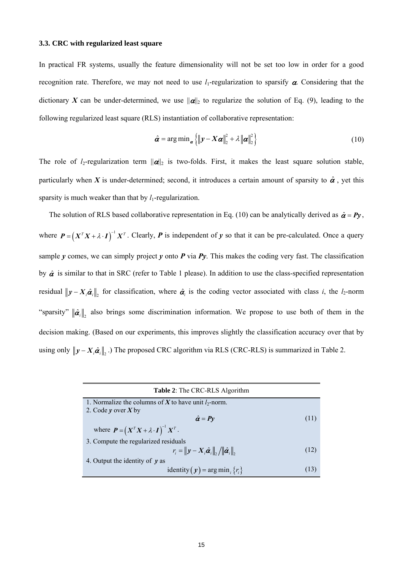#### **3.3. CRC with regularized least square**

In practical FR systems, usually the feature dimensionality will not be set too low in order for a good recognition rate. Therefore, we may not need to use  $l_1$ -regularization to sparsify  $\alpha$ . Considering that the dictionary *X* can be under-determined, we use  $||\alpha||_2$  to regularize the solution of Eq. (9), leading to the following regularized least square (RLS) instantiation of collaborative representation:

$$
\hat{\boldsymbol{\alpha}} = \arg \min_{\boldsymbol{\alpha}} \left\{ \left\| \boldsymbol{y} - \boldsymbol{X} \boldsymbol{\alpha} \right\|_{2}^{2} + \lambda \left\| \boldsymbol{\alpha} \right\|_{2}^{2} \right\}
$$
 (10)

The role of *l*<sub>2</sub>-regularization term  $\|\alpha\|_2$  is two-folds. First, it makes the least square solution stable, particularly when *X* is under-determined; second, it introduces a certain amount of sparsity to  $\hat{\alpha}$ , yet this sparsity is much weaker than that by  $l_1$ -regularization.

The solution of RLS based collaborative representation in Eq. (10) can be analytically derived as  $\hat{\alpha} = Py$ , where  $P = (X^T X + \lambda \cdot I)^{-1} X^T$ . Clearly, *P* is independent of *y* so that it can be pre-calculated. Once a query sample *y* comes, we can simply project *y* onto *P* via  $Py$ . This makes the coding very fast. The classification by  $\hat{\alpha}$  is similar to that in SRC (refer to Table 1 please). In addition to use the class-specified representation residual  $||y - X_i \hat{\alpha}_i||$ , for classification, where  $\hat{\alpha}_i$  is the coding vector associated with class *i*, the *l*<sub>2</sub>-norm "sparsity"  $\|\hat{\pmb{\alpha}}_i\|_2$  also brings some discrimination information. We propose to use both of them in the decision making. (Based on our experiments, this improves slightly the classification accuracy over that by using only  $\|\mathbf{y} - \mathbf{X}_i \hat{\boldsymbol{a}}_i\|$ . The proposed CRC algorithm via RLS (CRC-RLS) is summarized in Table 2.

| <b>Table 2:</b> The CRC-RLS Algorithm                                                                             |      |  |  |  |
|-------------------------------------------------------------------------------------------------------------------|------|--|--|--|
| 1. Normalize the columns of X to have unit $l_2$ -norm.                                                           |      |  |  |  |
| 2. Code $\nu$ over X by                                                                                           |      |  |  |  |
| $\hat{\alpha} = P y$                                                                                              | (11) |  |  |  |
| where $\boldsymbol{P} = (\boldsymbol{X}^T \boldsymbol{X} + \lambda \cdot \boldsymbol{I})^{-1} \boldsymbol{X}^T$ . |      |  |  |  |
| 3. Compute the regularized residuals                                                                              |      |  |  |  |
| $r_i =   y - X_i \hat{\boldsymbol{\alpha}}_i  _2 /   \hat{\boldsymbol{\alpha}}_i  _2$                             | (12) |  |  |  |
| 4. Output the identity of $\nu$ as                                                                                |      |  |  |  |
| identity $(\mathbf{y}) = \arg \min_i \{r_i\}$                                                                     | (13) |  |  |  |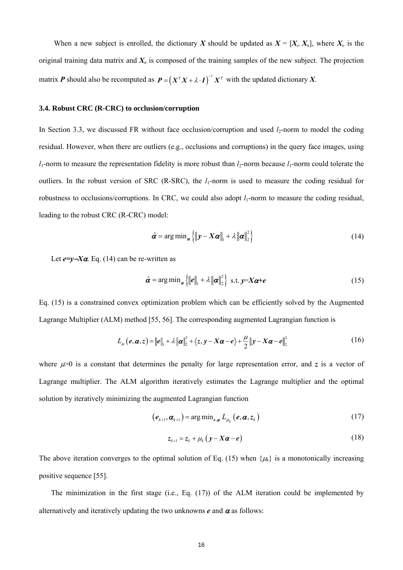When a new subject is enrolled, the dictionary *X* should be updated as  $X = [X_0, X_n]$ , where  $X_0$  is the original training data matrix and  $X<sub>n</sub>$  is composed of the training samples of the new subject. The projection matrix *P* should also be recomputed as  $P = (X^T X + \lambda \cdot I)^{-1} X^T$  with the updated dictionary *X*.

## **3.4. Robust CRC (R-CRC) to occlusion/corruption**

In Section 3.3, we discussed FR without face occlusion/corruption and used  $l_2$ -norm to model the coding residual. However, when there are outliers (e.g., occlusions and corruptions) in the query face images, using  $l_1$ -norm to measure the representation fidelity is more robust than  $l_2$ -norm because  $l_1$ -norm could tolerate the outliers. In the robust version of SRC (R-SRC), the *l*<sub>1</sub>-norm is used to measure the coding residual for robustness to occlusions/corruptions. In CRC, we could also adopt  $l_1$ -norm to measure the coding residual, leading to the robust CRC (R-CRC) model:

$$
\hat{\alpha} = \arg \min_{\alpha} \left\{ \left\| \mathbf{y} - \mathbf{X} \alpha \right\|_{1} + \lambda \left\| \alpha \right\|_{2}^{2} \right\}
$$
\n(14)

Let *e=y*−*X*α. Eq. (14) can be re-written as

$$
\hat{\alpha} = \arg \min_{\alpha} \left\{ \|\boldsymbol{e}\|_{1} + \lambda \|\boldsymbol{\alpha}\|_{2}^{2} \right\} \text{ s.t. } \boldsymbol{y} = \boldsymbol{X} \boldsymbol{\alpha} + \boldsymbol{e}
$$
 (15)

Eq. (15) is a constrained convex optimization problem which can be efficiently solved by the Augmented Lagrange Multiplier (ALM) method [55, 56]. The corresponding augmented Lagrangian function is

$$
L_{\mu}\left(e,\boldsymbol{\alpha},z\right) = \|\boldsymbol{e}\|_{1} + \lambda \|\boldsymbol{\alpha}\|_{2}^{2} + \langle z,y-X\boldsymbol{\alpha}-\boldsymbol{e}\rangle + \frac{\mu}{2} \|y-X\boldsymbol{\alpha}-\boldsymbol{e}\|_{2}^{2}
$$
(16)

where  $\mu$  is a constant that determines the penalty for large representation error, and *z* is a vector of Lagrange multiplier. The ALM algorithm iteratively estimates the Lagrange multiplier and the optimal solution by iteratively minimizing the augmented Lagrangian function

$$
\left(\boldsymbol{e}_{k+1}, \boldsymbol{\alpha}_{k+1}\right) = \arg\min_{\boldsymbol{e}, \boldsymbol{\alpha}} L_{\mu_k}\left(\boldsymbol{e}, \boldsymbol{\alpha}, \boldsymbol{z}_k\right) \tag{17}
$$

$$
z_{k+1} = z_k + \mu_k \left( y - X \boldsymbol{\alpha} - \boldsymbol{e} \right) \tag{18}
$$

The above iteration converges to the optimal solution of Eq. (15) when  $\{\mu_k\}$  is a monotonically increasing positive sequence [55].

The minimization in the first stage (i.e., Eq. (17)) of the ALM iteration could be implemented by alternatively and iteratively updating the two unknowns  $e$  and  $\alpha$  as follows: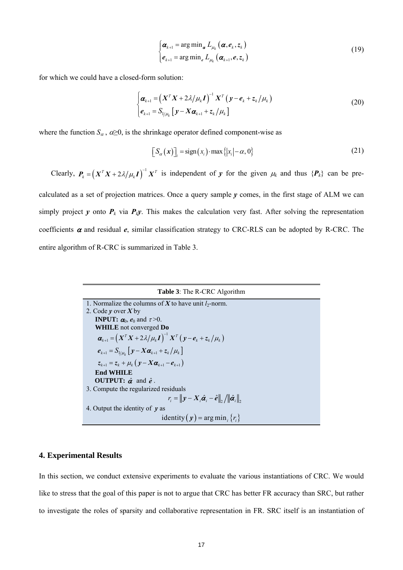$$
\begin{cases}\n\boldsymbol{\alpha}_{k+1} = \arg \min_{\boldsymbol{\alpha}} L_{\mu_k} (\boldsymbol{\alpha}, \boldsymbol{e}_k, z_k) \\
\boldsymbol{e}_{k+1} = \arg \min_{\boldsymbol{e}} L_{\mu_k} (\boldsymbol{\alpha}_{k+1}, \boldsymbol{e}, z_k)\n\end{cases}
$$
\n(19)

for which we could have a closed-form solution:

$$
\begin{cases}\n\boldsymbol{\alpha}_{k+1} = \left(\boldsymbol{X}^T \boldsymbol{X} + 2\lambda/\mu_k \boldsymbol{I}\right)^{-1} \boldsymbol{X}^T \left(\boldsymbol{y} - \boldsymbol{e}_k + z_k/\mu_k\right) \\
\boldsymbol{e}_{k+1} = S_{1/\mu_k} \left[\boldsymbol{y} - \boldsymbol{X} \boldsymbol{\alpha}_{k+1} + z_k/\mu_k\right]\n\end{cases}
$$
\n(20)

where the function  $S_\alpha$ ,  $\alpha \geq 0$ , is the shrinkage operator defined component-wise as

$$
\[S_{\alpha}(\mathbf{x})\]_{i} = \text{sign}(x_{i}) \cdot \max\{|x_{i}| - \alpha, 0\} \tag{21}
$$

Clearly,  $P_k = (X^T X + 2\lambda/\mu_k I)^{-1} X^T$  is independent of *y* for the given  $\mu_k$  and thus  $\{P_k\}$  can be precalculated as a set of projection matrices. Once a query sample *y* comes, in the first stage of ALM we can simply project *y* onto  $P_k$  via  $P_k y$ . This makes the calculation very fast. After solving the representation coefficients  $\alpha$  and residual  $e$ , similar classification strategy to CRC-RLS can be adopted by R-CRC. The

entire algorithm of R-CRC is summarized in Table 3.



## **4. Experimental Results**

In this section, we conduct extensive experiments to evaluate the various instantiations of CRC. We would like to stress that the goal of this paper is not to argue that CRC has better FR accuracy than SRC, but rather to investigate the roles of sparsity and collaborative representation in FR. SRC itself is an instantiation of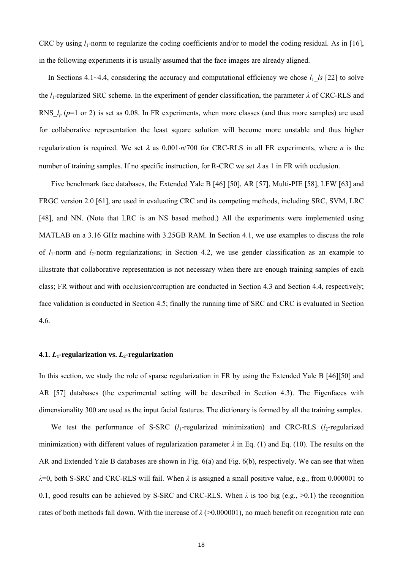CRC by using  $l_1$ -norm to regularize the coding coefficients and/or to model the coding residual. As in [16], in the following experiments it is usually assumed that the face images are already aligned.

In Sections 4.1~4.4, considering the accuracy and computational efficiency we chose  $l_1$  *ls* [22] to solve the  $l_1$ -regularized SRC scheme. In the experiment of gender classification, the parameter  $\lambda$  of CRC-RLS and RNS  $l_p$  ( $p=1$  or 2) is set as 0.08. In FR experiments, when more classes (and thus more samples) are used for collaborative representation the least square solution will become more unstable and thus higher regularization is required. We set λ as 0.001⋅*n*/700 for CRC-RLS in all FR experiments, where *n* is the number of training samples. If no specific instruction, for R-CRC we set  $\lambda$  as 1 in FR with occlusion.

Five benchmark face databases, the Extended Yale B [46] [50], AR [57], Multi-PIE [58], LFW [63] and FRGC version 2.0 [61], are used in evaluating CRC and its competing methods, including SRC, SVM, LRC [48], and NN. (Note that LRC is an NS based method.) All the experiments were implemented using MATLAB on a 3.16 GHz machine with 3.25GB RAM. In Section 4.1, we use examples to discuss the role of  $l_1$ -norm and  $l_2$ -norm regularizations; in Section 4.2, we use gender classification as an example to illustrate that collaborative representation is not necessary when there are enough training samples of each class; FR without and with occlusion/corruption are conducted in Section 4.3 and Section 4.4, respectively; face validation is conducted in Section 4.5; finally the running time of SRC and CRC is evaluated in Section 4.6.

# **4.1.**  $L_1$ -regularization vs.  $L_2$ -regularization

In this section, we study the role of sparse regularization in FR by using the Extended Yale B [46][50] and AR [57] databases (the experimental setting will be described in Section 4.3). The Eigenfaces with dimensionality 300 are used as the input facial features. The dictionary is formed by all the training samples.

We test the performance of S-SRC  $(l_1$ -regularized minimization) and CRC-RLS  $(l_2$ -regularized minimization) with different values of regularization parameter  $\lambda$  in Eq. (1) and Eq. (10). The results on the AR and Extended Yale B databases are shown in Fig. 6(a) and Fig. 6(b), respectively. We can see that when *λ*=0, both S-SRC and CRC-RLS will fail. When *λ* is assigned a small positive value, e.g., from 0.000001 to 0.1, good results can be achieved by S-SRC and CRC-RLS. When  $\lambda$  is too big (e.g.,  $>0.1$ ) the recognition rates of both methods fall down. With the increase of  $\lambda$  ( $>0.000001$ ), no much benefit on recognition rate can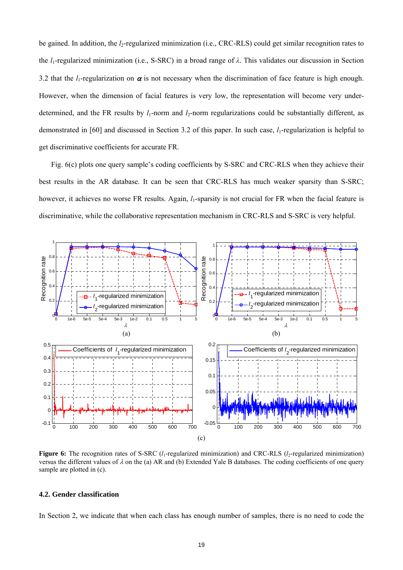be gained. In addition, the *l*<sub>2</sub>-regularized minimization (i.e., CRC-RLS) could get similar recognition rates to the  $l_1$ -regularized minimization (i.e., S-SRC) in a broad range of  $\lambda$ . This validates our discussion in Section 3.2 that the  $l_1$ -regularization on  $\alpha$  is not necessary when the discrimination of face feature is high enough. However, when the dimension of facial features is very low, the representation will become very underdetermined, and the FR results by  $l_1$ -norm and  $l_2$ -norm regularizations could be substantially different, as demonstrated in [60] and discussed in Section 3.2 of this paper. In such case, *l*<sub>1</sub>-regularization is helpful to get discriminative coefficients for accurate FR.

Fig. 6(c) plots one query sample's coding coefficients by S-SRC and CRC-RLS when they achieve their best results in the AR database. It can be seen that CRC-RLS has much weaker sparsity than S-SRC; however, it achieves no worse FR results. Again,  $l_1$ -sparsity is not crucial for FR when the facial feature is discriminative, while the collaborative representation mechanism in CRC-RLS and S-SRC is very helpful.



**Figure 6:** The recognition rates of S-SRC  $(l_1$ -regularized minimization) and CRC-RLS  $(l_2$ -regularized minimization) versus the different values of  $\lambda$  on the (a) AR and (b) Extended Yale B databases. The coding coefficients of one query sample are plotted in (c).

## **4.2. Gender classification**

In Section 2, we indicate that when each class has enough number of samples, there is no need to code the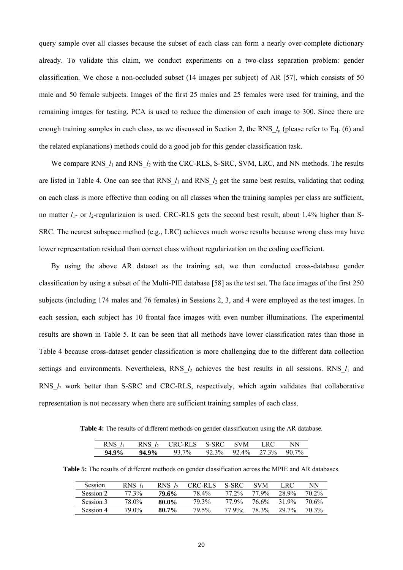query sample over all classes because the subset of each class can form a nearly over-complete dictionary already. To validate this claim, we conduct experiments on a two-class separation problem: gender classification. We chose a non-occluded subset (14 images per subject) of AR [57], which consists of 50 male and 50 female subjects. Images of the first 25 males and 25 females were used for training, and the remaining images for testing. PCA is used to reduce the dimension of each image to 300. Since there are enough training samples in each class, as we discussed in Section 2, the RNS\_*lp* (please refer to Eq. (6) and the related explanations) methods could do a good job for this gender classification task.

We compare RNS  $l_1$  and RNS  $l_2$  with the CRC-RLS, S-SRC, SVM, LRC, and NN methods. The results are listed in Table 4. One can see that RNS<sub>\_*l*1</sub> and RNS<sub>\_*l*2</sub> get the same best results, validating that coding on each class is more effective than coding on all classes when the training samples per class are sufficient, no matter  $l_1$ - or  $l_2$ -regularizaion is used. CRC-RLS gets the second best result, about 1.4% higher than S-SRC. The nearest subspace method (e.g., LRC) achieves much worse results because wrong class may have lower representation residual than correct class without regularization on the coding coefficient.

By using the above AR dataset as the training set, we then conducted cross-database gender classification by using a subset of the Multi-PIE database [58] as the test set. The face images of the first 250 subjects (including 174 males and 76 females) in Sessions 2, 3, and 4 were employed as the test images. In each session, each subject has 10 frontal face images with even number illuminations. The experimental results are shown in Table 5. It can be seen that all methods have lower classification rates than those in Table 4 because cross-dataset gender classification is more challenging due to the different data collection settings and environments. Nevertheless, RNS  $l_2$  achieves the best results in all sessions. RNS  $l_1$  and RNS\_*l*2 work better than S-SRC and CRC-RLS, respectively, which again validates that collaborative representation is not necessary when there are sufficient training samples of each class.

**Table 4:** The results of different methods on gender classification using the AR database.

| $RNS$ $l_1$ |          | RNS $l_2$ CRC-RLS S-SRC SVM LRC |                         |  | NN |
|-------------|----------|---------------------------------|-------------------------|--|----|
| $94.9\%$    | $94.9\%$ | 93.7%                           | 92.3% 92.4% 27.3% 90.7% |  |    |

**Table 5:** The results of different methods on gender classification across the MPIE and AR databases.

| Session   | $RNS$ $l_1$ | RNS $l_2$ | <b>CRC-RLS</b> | S-SRC      | <b>SVM</b> | LRC               | NN    |
|-----------|-------------|-----------|----------------|------------|------------|-------------------|-------|
| Session 2 | 77 3%       | 79.6%     | 78.4%          | $77.2\%$   | 77.9%      | 28.9%             | 70 2% |
| Session 3 | 78.0%       | 80.0%     | 79.3%          | 77.9%      | 76.6%      | 31.9%             | 70.6% |
| Session 4 | 79.0%       | 80.7%     | 79.5%          | $77.9\%$ : | 78.3%      | 29 7 <sub>%</sub> | 70.3% |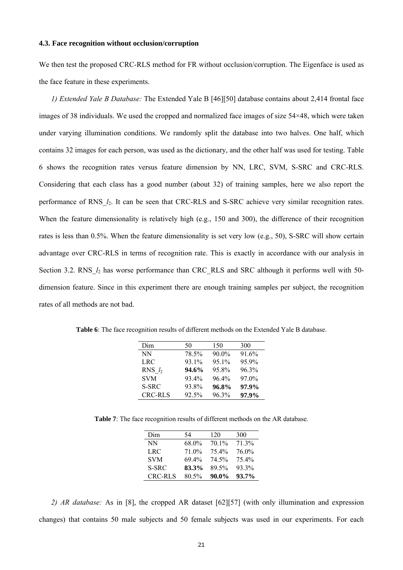### **4.3. Face recognition without occlusion/corruption**

We then test the proposed CRC-RLS method for FR without occlusion/corruption. The Eigenface is used as the face feature in these experiments.

*1) Extended Yale B Database:* The Extended Yale B [46][50] database contains about 2,414 frontal face images of 38 individuals. We used the cropped and normalized face images of size 54×48, which were taken under varying illumination conditions. We randomly split the database into two halves. One half, which contains 32 images for each person, was used as the dictionary, and the other half was used for testing. Table 6 shows the recognition rates versus feature dimension by NN, LRC, SVM, S-SRC and CRC-RLS. Considering that each class has a good number (about 32) of training samples, here we also report the performance of RNS\_*l*2. It can be seen that CRC-RLS and S-SRC achieve very similar recognition rates. When the feature dimensionality is relatively high (e.g., 150 and 300), the difference of their recognition rates is less than 0.5%. When the feature dimensionality is set very low (e.g., 50), S-SRC will show certain advantage over CRC-RLS in terms of recognition rate. This is exactly in accordance with our analysis in Section 3.2. RNS  $l_2$  has worse performance than CRC\_RLS and SRC although it performs well with 50dimension feature. Since in this experiment there are enough training samples per subject, the recognition rates of all methods are not bad.

| Dim            | 50    | 150      | 300   |
|----------------|-------|----------|-------|
| <b>NN</b>      | 78.5% | $90.0\%$ | 91.6% |
| LRC            | 93.1% | 95.1%    | 95.9% |
| RNS $l_2$      | 94.6% | 95.8%    | 96.3% |
| <b>SVM</b>     | 93.4% | 964%     | 97.0% |
| S-SRC          | 93.8% | 96.8%    | 97.9% |
| <b>CRC-RLS</b> | 92.5% | 96.3%    | 97.9% |

**Table 6**: The face recognition results of different methods on the Extended Yale B database.

**Table 7**: The face recognition results of different methods on the AR database.

| Dim            | 54       | 120      | 300      |
|----------------|----------|----------|----------|
| NN             | 68.0%    | $70.1\%$ | 71.3%    |
| LRC            | 71.0%    | 75.4%    | 76.0%    |
| <b>SVM</b>     | 69.4%    | 74.5%    | 75.4%    |
| S-SRC          | 83.3%    | 89.5%    | 93.3%    |
| <b>CRC-RLS</b> | $80.5\%$ | $90.0\%$ | $93.7\%$ |

*2) AR database:* As in [8], the cropped AR dataset [62][57] (with only illumination and expression changes) that contains 50 male subjects and 50 female subjects was used in our experiments. For each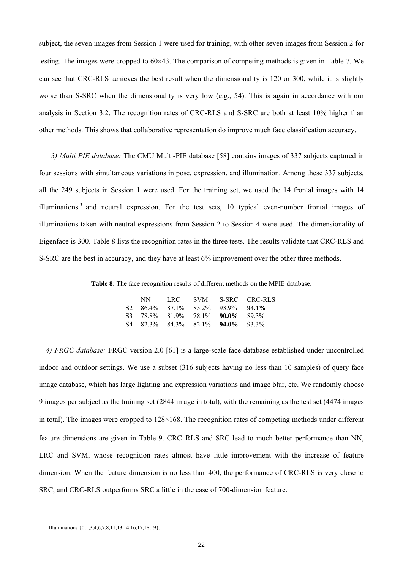subject, the seven images from Session 1 were used for training, with other seven images from Session 2 for testing. The images were cropped to 60×43. The comparison of competing methods is given in Table 7. We can see that CRC-RLS achieves the best result when the dimensionality is 120 or 300, while it is slightly worse than S-SRC when the dimensionality is very low (e.g., 54). This is again in accordance with our analysis in Section 3.2. The recognition rates of CRC-RLS and S-SRC are both at least 10% higher than other methods. This shows that collaborative representation do improve much face classification accuracy.

*3) Multi PIE database:* The CMU Multi-PIE database [58] contains images of 337 subjects captured in four sessions with simultaneous variations in pose, expression, and illumination. Among these 337 subjects, all the 249 subjects in Session 1 were used. For the training set, we used the 14 frontal images with 14 illuminations<sup>3</sup> and neutral expression. For the test sets, 10 typical even-number frontal images of illuminations taken with neutral expressions from Session 2 to Session 4 were used. The dimensionality of Eigenface is 300. Table 8 lists the recognition rates in the three tests. The results validate that CRC-RLS and S-SRC are the best in accuracy, and they have at least 6% improvement over the other three methods.

**Table 8**: The face recognition results of different methods on the MPIE database.

|        | NN.   | LRC - |                       |                         | SVM S-SRC CRC-RLS |
|--------|-------|-------|-----------------------|-------------------------|-------------------|
| S2.    |       |       |                       | 86.4% 87.1% 85.2% 93.9% | $94.1\%$          |
| - S3 - | 78.8% |       | $819\%$ 78.1\% 90.0\% |                         | 89 3%             |
| S4     |       |       |                       | 82.3% 84.3% 82.1% 94.0% | $-93.3\%$         |

*4) FRGC database:* FRGC version 2.0 [61] is a large-scale face database established under uncontrolled indoor and outdoor settings. We use a subset (316 subjects having no less than 10 samples) of query face image database, which has large lighting and expression variations and image blur, etc. We randomly choose 9 images per subject as the training set (2844 image in total), with the remaining as the test set (4474 images in total). The images were cropped to 128×168. The recognition rates of competing methods under different feature dimensions are given in Table 9. CRC\_RLS and SRC lead to much better performance than NN, LRC and SVM, whose recognition rates almost have little improvement with the increase of feature dimension. When the feature dimension is no less than 400, the performance of CRC-RLS is very close to SRC, and CRC-RLS outperforms SRC a little in the case of 700-dimension feature.

<sup>&</sup>lt;sup>3</sup> Illuminations {0,1,3,4,6,7,8,11,13,14,16,17,18,19}.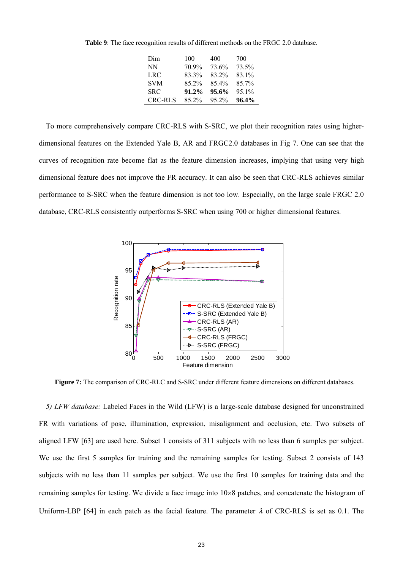| Dim        | 100   | 400      | 700      |
|------------|-------|----------|----------|
| NN         | 70.9% | 73.6%    | 73.5%    |
| LRC        | 83.3% | 83.2%    | 83.1%    |
| <b>SVM</b> | 85.2% | $854\%$  | 85.7%    |
| <b>SRC</b> | 91.2% | $95.6\%$ | 95.1%    |
| CRC-RLS    | 85 2% | 95 2%    | $96.4\%$ |

**Table 9**: The face recognition results of different methods on the FRGC 2.0 database.

To more comprehensively compare CRC-RLS with S-SRC, we plot their recognition rates using higherdimensional features on the Extended Yale B, AR and FRGC2.0 databases in Fig 7. One can see that the curves of recognition rate become flat as the feature dimension increases, implying that using very high dimensional feature does not improve the FR accuracy. It can also be seen that CRC-RLS achieves similar performance to S-SRC when the feature dimension is not too low. Especially, on the large scale FRGC 2.0 database, CRC-RLS consistently outperforms S-SRC when using 700 or higher dimensional features.



**Figure 7:** The comparison of CRC-RLC and S-SRC under different feature dimensions on different databases.

*5) LFW database:* Labeled Faces in the Wild (LFW) is a large-scale database designed for unconstrained FR with variations of pose, illumination, expression, misalignment and occlusion, etc. Two subsets of aligned LFW [63] are used here. Subset 1 consists of 311 subjects with no less than 6 samples per subject. We use the first 5 samples for training and the remaining samples for testing. Subset 2 consists of 143 subjects with no less than 11 samples per subject. We use the first 10 samples for training data and the remaining samples for testing. We divide a face image into 10×8 patches, and concatenate the histogram of Uniform-LBP [64] in each patch as the facial feature. The parameter  $\lambda$  of CRC-RLS is set as 0.1. The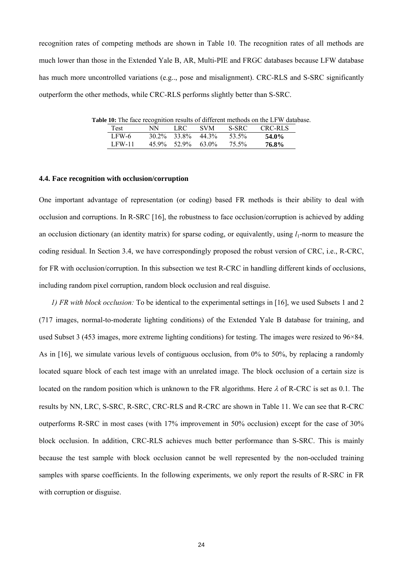recognition rates of competing methods are shown in Table 10. The recognition rates of all methods are much lower than those in the Extended Yale B, AR, Multi-PIE and FRGC databases because LFW database has much more uncontrolled variations (e.g.., pose and misalignment). CRC-RLS and S-SRC significantly outperform the other methods, while CRC-RLS performs slightly better than S-SRC.

**Table 10:** The face recognition results of different methods on the LFW database. Test NN LRC SVM S-SRC CRC-RLS LFW-6 30.2% 33.8% 44.3% 53.5% **54.0%** 

LFW-11 45.9% 52.9% 63.0% 75.5% **76.8%** 

#### **4.4. Face recognition with occlusion/corruption**

One important advantage of representation (or coding) based FR methods is their ability to deal with occlusion and corruptions. In R-SRC [16], the robustness to face occlusion/corruption is achieved by adding an occlusion dictionary (an identity matrix) for sparse coding, or equivalently, using  $l_1$ -norm to measure the coding residual. In Section 3.4, we have correspondingly proposed the robust version of CRC, i.e., R-CRC, for FR with occlusion/corruption. In this subsection we test R-CRC in handling different kinds of occlusions, including random pixel corruption, random block occlusion and real disguise.

*1) FR with block occlusion:* To be identical to the experimental settings in [16], we used Subsets 1 and 2 (717 images, normal-to-moderate lighting conditions) of the Extended Yale B database for training, and used Subset 3 (453 images, more extreme lighting conditions) for testing. The images were resized to 96×84. As in [16], we simulate various levels of contiguous occlusion, from 0% to 50%, by replacing a randomly located square block of each test image with an unrelated image. The block occlusion of a certain size is located on the random position which is unknown to the FR algorithms. Here λ of R-CRC is set as 0.1*.* The results by NN, LRC, S-SRC, R-SRC, CRC-RLS and R-CRC are shown in Table 11. We can see that R-CRC outperforms R-SRC in most cases (with 17% improvement in 50% occlusion) except for the case of 30% block occlusion. In addition, CRC-RLS achieves much better performance than S-SRC. This is mainly because the test sample with block occlusion cannot be well represented by the non-occluded training samples with sparse coefficients. In the following experiments, we only report the results of R-SRC in FR with corruption or disguise.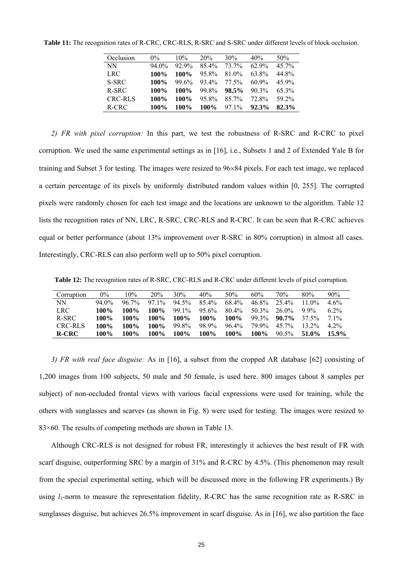| Occlusion | $0\%$  | 10%   | 20%     | 30%      | 40%      | 50%   |
|-----------|--------|-------|---------|----------|----------|-------|
| <b>NN</b> | 94 0\% | 92.9% | $854\%$ | 73.7%    | $62.9\%$ | 45 7% |
| LRC.      | 100%   | 100%  | 95.8%   | 81 0\%   | 63.8%    | 44.8% |
| S-SRC     | 100%   | 99.6% | 93.4%   | 77.5%    | $609\%$  | 45.9% |
| R-SRC     | 100%   | 100%  | 99.8%   | 98.5%    | $90.3\%$ | 65.3% |
| CRC-RLS   | 100%   | 100%  | 95.8%   | $85.7\%$ | 72.8%    | 59 2% |
| R-CRC     | 100%   | 100%  | $100\%$ | 97.1%    | 92.3%    | 82.3% |

**Table 11:** The recognition rates of R-CRC, CRC-RLS, R-SRC and S-SRC under different levels of block occlusion.

*2) FR with pixel corruption:* In this part, we test the robustness of R-SRC and R-CRC to pixel corruption. We used the same experimental settings as in [16], i.e., Subsets 1 and 2 of Extended Yale B for training and Subset 3 for testing. The images were resized to 96×84 pixels. For each test image, we replaced a certain percentage of its pixels by uniformly distributed random values within [0, 255]. The corrupted pixels were randomly chosen for each test image and the locations are unknown to the algorithm. Table 12 lists the recognition rates of NN, LRC, R-SRC, CRC-RLS and R-CRC. It can be seen that R-CRC achieves equal or better performance (about 13% improvement over R-SRC in 80% corruption) in almost all cases. Interestingly, CRC-RLS can also perform well up to 50% pixel corruption.

**Table 12:** The recognition rates of R-SRC, CRC-RLS and R-CRC under different levels of pixel corruption.

| Corruption   | 0%       | $10\%$   | 20%     | 30%     | 40%      | 50%     | 60%   | 70%      | 80%      | 90%                             |
|--------------|----------|----------|---------|---------|----------|---------|-------|----------|----------|---------------------------------|
| NN           | $94.0\%$ | $96.7\%$ | $971\%$ | 94.5%   | $854\%$  | 68.4%   | 46.8% | 25.4%    | 11 $0\%$ | $4.6\%$                         |
| <b>LRC</b>   | 100%     | 100%     | 100%    | 99.1%   | $95.6\%$ | $804\%$ | 50.3% | 26.0%    | $9.9\%$  | 62%                             |
| R-SRC        | 100%     | 100%     | 100%    | $100\%$ | $100\%$  | 100%    | 99.3% | $90.7\%$ | 37.5%    | 71%                             |
| CRC-RLS      | 100%     | 100%     | 100%    | 99.8%   | 98.9%    | $964\%$ | 79.9% | $45.7\%$ | $13.2\%$ | 4 2 <sup>o</sup> / <sub>0</sub> |
| <b>R-CRC</b> | 100%     | 100%     | 100%    | 100%    | 100%     | 100%    | 100%  | $90.5\%$ | 51.0%    | $15.9\%$                        |

*3) FR with real face disguise:* As in [16], a subset from the cropped AR database [62] consisting of 1,200 images from 100 subjects, 50 male and 50 female, is used here. 800 images (about 8 samples per subject) of non-occluded frontal views with various facial expressions were used for training, while the others with sunglasses and scarves (as shown in Fig. 8) were used for testing. The images were resized to 83×60. The results of competing methods are shown in Table 13.

Although CRC-RLS is not designed for robust FR, interestingly it achieves the best result of FR with scarf disguise, outperforming SRC by a margin of 31% and R-CRC by 4.5%. (This phenomenon may result from the special experimental setting, which will be discussed more in the following FR experiments.) By using  $l_1$ -norm to measure the representation fidelity, R-CRC has the same recognition rate as R-SRC in sunglasses disguise, but achieves 26.5% improvement in scarf disguise. As in [16], we also partition the face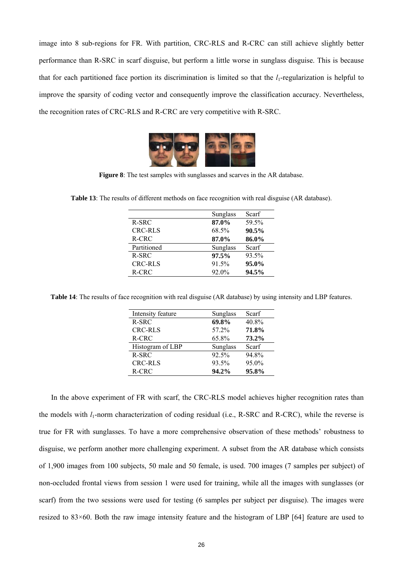image into 8 sub-regions for FR. With partition, CRC-RLS and R-CRC can still achieve slightly better performance than R-SRC in scarf disguise, but perform a little worse in sunglass disguise. This is because that for each partitioned face portion its discrimination is limited so that the  $l_1$ -regularization is helpful to improve the sparsity of coding vector and consequently improve the classification accuracy. Nevertheless, the recognition rates of CRC-RLS and R-CRC are very competitive with R-SRC.



**Figure 8**: The test samples with sunglasses and scarves in the AR database.

|                | <b>Sunglass</b> | Scarf |
|----------------|-----------------|-------|
| R-SRC          | 87.0%           | 59.5% |
| <b>CRC-RLS</b> | 68.5%           | 90.5% |
| R-CRC          | 87.0%           | 86.0% |
| Partitioned    | Sunglass        | Scarf |
| $R-SRC$        | 97.5%           | 93.5% |
| CRC-RLS        | 91.5%           | 95.0% |
| R-CRC          | 92.0%           | 94.5% |

**Table 13**: The results of different methods on face recognition with real disguise (AR database).

**Table 14**: The results of face recognition with real disguise (AR database) by using intensity and LBP features.

| Intensity feature | Sunglass | Scarf |
|-------------------|----------|-------|
| $R-SRC$           | 69.8%    | 40.8% |
| <b>CRC-RLS</b>    | 57.2%    | 71.8% |
| R-CRC             | 65.8%    | 73.2% |
| Histogram of LBP  | Sunglass | Scarf |
| $R-SRC$           | 92.5%    | 94.8% |
| <b>CRC-RLS</b>    | 93.5%    | 95.0% |
| R-CRC             | 94.2%    | 95.8% |

In the above experiment of FR with scarf, the CRC-RLS model achieves higher recognition rates than the models with *l*1-norm characterization of coding residual (i.e., R-SRC and R-CRC), while the reverse is true for FR with sunglasses. To have a more comprehensive observation of these methods' robustness to disguise, we perform another more challenging experiment. A subset from the AR database which consists of 1,900 images from 100 subjects, 50 male and 50 female, is used. 700 images (7 samples per subject) of non-occluded frontal views from session 1 were used for training, while all the images with sunglasses (or scarf) from the two sessions were used for testing (6 samples per subject per disguise). The images were resized to 83×60. Both the raw image intensity feature and the histogram of LBP [64] feature are used to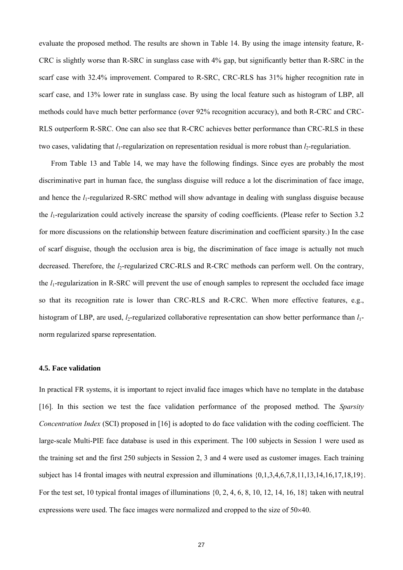evaluate the proposed method. The results are shown in Table 14. By using the image intensity feature, R-CRC is slightly worse than R-SRC in sunglass case with 4% gap, but significantly better than R-SRC in the scarf case with 32.4% improvement. Compared to R-SRC, CRC-RLS has 31% higher recognition rate in scarf case, and 13% lower rate in sunglass case. By using the local feature such as histogram of LBP, all methods could have much better performance (over 92% recognition accuracy), and both R-CRC and CRC-RLS outperform R-SRC. One can also see that R-CRC achieves better performance than CRC-RLS in these two cases, validating that *l*<sub>1</sub>-regularization on representation residual is more robust than *l*<sub>2</sub>-regulariation.

From Table 13 and Table 14, we may have the following findings. Since eyes are probably the most discriminative part in human face, the sunglass disguise will reduce a lot the discrimination of face image, and hence the *l*1-regularized R-SRC method will show advantage in dealing with sunglass disguise because the *l*1-regularization could actively increase the sparsity of coding coefficients. (Please refer to Section 3.2 for more discussions on the relationship between feature discrimination and coefficient sparsity.) In the case of scarf disguise, though the occlusion area is big, the discrimination of face image is actually not much decreased. Therefore, the *l*<sub>2</sub>-regularized CRC-RLS and R-CRC methods can perform well. On the contrary, the *l*1-regularization in R-SRC will prevent the use of enough samples to represent the occluded face image so that its recognition rate is lower than CRC-RLS and R-CRC. When more effective features, e.g., histogram of LBP, are used,  $l_2$ -regularized collaborative representation can show better performance than  $l_1$ norm regularized sparse representation.

# **4.5. Face validation**

In practical FR systems, it is important to reject invalid face images which have no template in the database [16]. In this section we test the face validation performance of the proposed method. The *Sparsity Concentration Index* (SCI) proposed in [16] is adopted to do face validation with the coding coefficient. The large-scale Multi-PIE face database is used in this experiment. The 100 subjects in Session 1 were used as the training set and the first 250 subjects in Session 2, 3 and 4 were used as customer images. Each training subject has 14 frontal images with neutral expression and illuminations {0,1,3,4,6,7,8,11,13,14,16,17,18,19}. For the test set, 10 typical frontal images of illuminations {0, 2, 4, 6, 8, 10, 12, 14, 16, 18} taken with neutral expressions were used. The face images were normalized and cropped to the size of 50×40.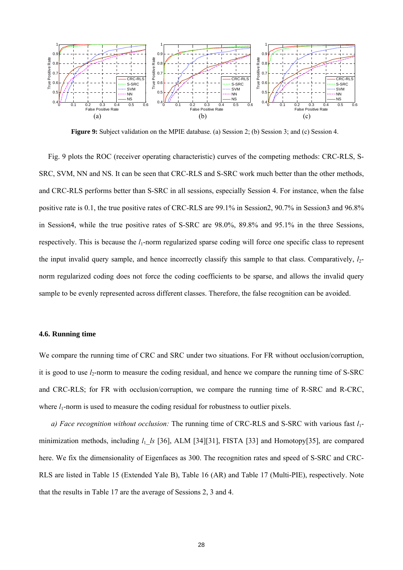

**Figure 9:** Subject validation on the MPIE database. (a) Session 2; (b) Session 3; and (c) Session 4.

Fig. 9 plots the ROC (receiver operating characteristic) curves of the competing methods: CRC-RLS, S-SRC, SVM, NN and NS. It can be seen that CRC-RLS and S-SRC work much better than the other methods, and CRC-RLS performs better than S-SRC in all sessions, especially Session 4. For instance, when the false positive rate is 0.1, the true positive rates of CRC-RLS are 99.1% in Session2, 90.7% in Session3 and 96.8% in Session4, while the true positive rates of S-SRC are 98.0%, 89.8% and 95.1% in the three Sessions, respectively. This is because the *l*<sub>1</sub>-norm regularized sparse coding will force one specific class to represent the input invalid query sample, and hence incorrectly classify this sample to that class. Comparatively, *l*<sub>2</sub>norm regularized coding does not force the coding coefficients to be sparse, and allows the invalid query sample to be evenly represented across different classes. Therefore, the false recognition can be avoided.

## **4.6. Running time**

We compare the running time of CRC and SRC under two situations. For FR without occlusion/corruption, it is good to use  $l_2$ -norm to measure the coding residual, and hence we compare the running time of S-SRC and CRC-RLS; for FR with occlusion/corruption, we compare the running time of R-SRC and R-CRC, where  $l_1$ -norm is used to measure the coding residual for robustness to outlier pixels.

*a) Face recognition without occlusion:* The running time of CRC-RLS and S-SRC with various fast *l*1 minimization methods, including *l*1\_*ls* [36], ALM [34][31], FISTA [33] and Homotopy[35], are compared here. We fix the dimensionality of Eigenfaces as 300. The recognition rates and speed of S-SRC and CRC-RLS are listed in Table 15 (Extended Yale B), Table 16 (AR) and Table 17 (Multi-PIE), respectively. Note that the results in Table 17 are the average of Sessions 2, 3 and 4.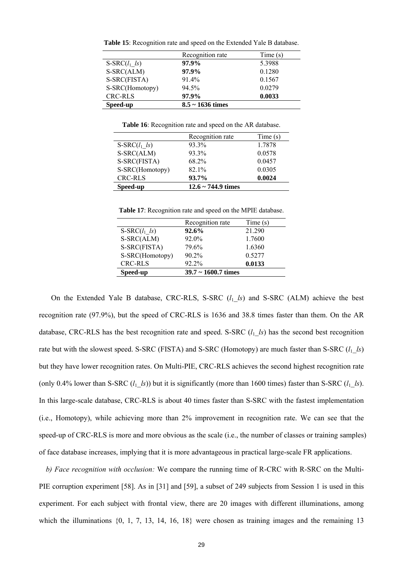| Speed-up           | $8.5 \sim 1636$ times |         |  |
|--------------------|-----------------------|---------|--|
| <b>CRC-RLS</b>     | 97.9%                 | 0.0033  |  |
| S-SRC(Homotopy)    | 94.5%                 | 0.0279  |  |
| S-SRC(FISTA)       | $91.4\%$              | 0.1567  |  |
| S-SRC(ALM)         | 97.9%                 | 0.1280  |  |
| $S-SRC(l_1 \; ls)$ | 97.9%                 | 5.3988  |  |
|                    | Recognition rate      | Time(s) |  |
|                    |                       |         |  |

**Table 15**: Recognition rate and speed on the Extended Yale B database.

**Table 16**: Recognition rate and speed on the AR database.

|                    | Recognition rate        | Time(s) |
|--------------------|-------------------------|---------|
| $S-SRC(l_1 \; ls)$ | 93.3%                   | 1.7878  |
| S-SRC(ALM)         | 93.3%                   | 0.0578  |
| S-SRC(FISTA)       | 68.2%                   | 0.0457  |
| S-SRC(Homotopy)    | 82.1%                   | 0.0305  |
| <b>CRC-RLS</b>     | 93.7%                   | 0.0024  |
| Speed-up           | $12.6 \sim 744.9$ times |         |

**Table 17**: Recognition rate and speed on the MPIE database.

| Recognition rate         | Time(s) |
|--------------------------|---------|
| 92.6%                    | 21.290  |
| 92.0%                    | 1.7600  |
| 79.6%                    | 1.6360  |
| 90.2%                    | 0.5277  |
| 92.2%                    | 0.0133  |
| $39.7 \sim 1600.7$ times |         |
|                          |         |

On the Extended Yale B database, CRC-RLS, S-SRC (*l*1\_*ls*) and S-SRC (ALM) achieve the best recognition rate (97.9%), but the speed of CRC-RLS is 1636 and 38.8 times faster than them. On the AR database, CRC-RLS has the best recognition rate and speed. S-SRC  $(l_1, l_2)$  has the second best recognition rate but with the slowest speed. S-SRC (FISTA) and S-SRC (Homotopy) are much faster than S-SRC  $(l_1_l/s)$ but they have lower recognition rates. On Multi-PIE, CRC-RLS achieves the second highest recognition rate (only 0.4% lower than S-SRC  $(l_1 \; l_s)$ ) but it is significantly (more than 1600 times) faster than S-SRC  $(l_1 \; l_s)$ . In this large-scale database, CRC-RLS is about 40 times faster than S-SRC with the fastest implementation (i.e., Homotopy), while achieving more than 2% improvement in recognition rate. We can see that the speed-up of CRC-RLS is more and more obvious as the scale (i.e., the number of classes or training samples) of face database increases, implying that it is more advantageous in practical large-scale FR applications.

*b) Face recognition with occlusion:* We compare the running time of R-CRC with R-SRC on the Multi-PIE corruption experiment [58]. As in [31] and [59], a subset of 249 subjects from Session 1 is used in this experiment. For each subject with frontal view, there are 20 images with different illuminations, among which the illuminations  $\{0, 1, 7, 13, 14, 16, 18\}$  were chosen as training images and the remaining 13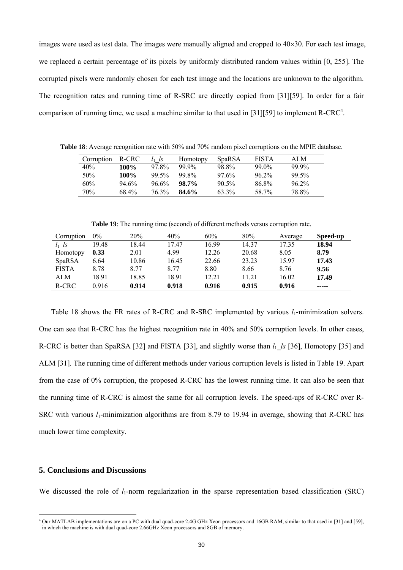images were used as test data. The images were manually aligned and cropped to  $40\times30$ . For each test image, we replaced a certain percentage of its pixels by uniformly distributed random values within [0, 255]. The corrupted pixels were randomly chosen for each test image and the locations are unknown to the algorithm. The recognition rates and running time of R-SRC are directly copied from [31][59]. In order for a fair comparison of running time, we used a machine similar to that used in [31][59] to implement R-CRC<sup>4</sup>.

**Table 18**: Average recognition rate with 50% and 70% random pixel corruptions on the MPIE database.

| Corruption | R-CRC | ls       | Homotopy | <b>SpaRSA</b> | <b>FISTA</b> | ALM      |
|------------|-------|----------|----------|---------------|--------------|----------|
| 40%        | 100%  | 97.8%    | $99.9\%$ | 98.8%         | $99.0\%$     | 99.9%    |
| 50%        | 100%  | $99.5\%$ | 99.8%    | $97.6\%$      | $96.2\%$     | $99.5\%$ |
| 60%        | 94.6% | $96.6\%$ | 98.7%    | $90.5\%$      | 86.8%        | $96.2\%$ |
| 70%        | 68.4% | 76.3%    | 84.6%    | 63.3%         | 58.7%        | 78.8%    |

**Table 19**: The running time (second) of different methods versus corruption rate.

| Corruption   | $0\%$ | 20%   | 40%   | 60%   | 80%   | Average | Speed-up |
|--------------|-------|-------|-------|-------|-------|---------|----------|
| $l_1$ ls     | 19.48 | 18.44 | 17.47 | 16.99 | 14.37 | 17.35   | 18.94    |
| Homotopy     | 0.33  | 2.01  | 4.99  | 12.26 | 20.68 | 8.05    | 8.79     |
| SpaRSA       | 6.64  | 10.86 | 16.45 | 22.66 | 23.23 | 15.97   | 17.43    |
| <b>FISTA</b> | 8.78  | 8.77  | 8.77  | 8.80  | 8.66  | 8.76    | 9.56     |
| ALM          | 18.91 | 18.85 | 18.91 | 12.21 | 11.21 | 16.02   | 17.49    |
| R-CRC        | 0.916 | 0.914 | 0.918 | 0.916 | 0.915 | 0.916   | -----    |

Table 18 shows the FR rates of R-CRC and R-SRC implemented by various  $l_1$ -minimization solvers. One can see that R-CRC has the highest recognition rate in 40% and 50% corruption levels. In other cases, R-CRC is better than SpaRSA [32] and FISTA [33], and slightly worse than  $l_1$  *ls* [36], Homotopy [35] and ALM [31]. The running time of different methods under various corruption levels is listed in Table 19. Apart from the case of 0% corruption, the proposed R-CRC has the lowest running time. It can also be seen that the running time of R-CRC is almost the same for all corruption levels. The speed-ups of R-CRC over R-SRC with various *l*<sub>1</sub>-minimization algorithms are from 8.79 to 19.94 in average, showing that R-CRC has much lower time complexity.

# **5. Conclusions and Discussions**

We discussed the role of  $l_1$ -norm regularization in the sparse representation based classification (SRC)

 4 Our MATLAB implementations are on a PC with dual quad-core 2.4G GHz Xeon processors and 16GB RAM, similar to that used in [31] and [59], in which the machine is with dual quad-core 2.66GHz Xeon processors and 8GB of memory.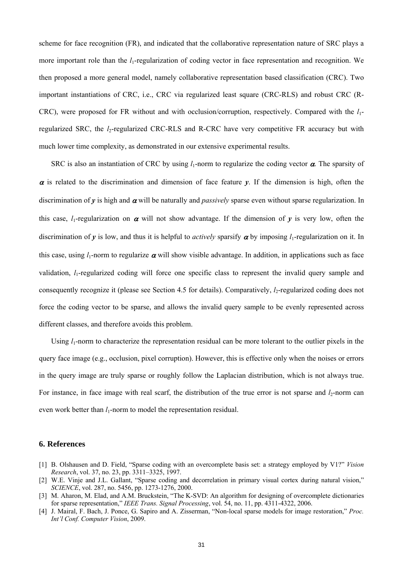scheme for face recognition (FR), and indicated that the collaborative representation nature of SRC plays a more important role than the *l*<sub>1</sub>-regularization of coding vector in face representation and recognition. We then proposed a more general model, namely collaborative representation based classification (CRC). Two important instantiations of CRC, i.e., CRC via regularized least square (CRC-RLS) and robust CRC (R-CRC), were proposed for FR without and with occlusion/corruption, respectively. Compared with the *l*1 regularized SRC, the *l*<sub>2</sub>-regularized CRC-RLS and R-CRC have very competitive FR accuracy but with much lower time complexity, as demonstrated in our extensive experimental results.

SRC is also an instantiation of CRC by using  $l_1$ -norm to regularize the coding vector  $\alpha$ . The sparsity of  $\alpha$  is related to the discrimination and dimension of face feature  $\gamma$ . If the dimension is high, often the discrimination of *y* is high and <sup>α</sup> will be naturally and *passively* sparse even without sparse regularization. In this case, *l*<sub>1</sub>-regularization on  $\alpha$  will not show advantage. If the dimension of  $\nu$  is very low, often the discrimination of *y* is low, and thus it is helpful to *actively* sparsify  $\alpha$  by imposing *l*<sub>1</sub>-regularization on it. In this case, using  $l_1$ -norm to regularize  $\alpha$  will show visible advantage. In addition, in applications such as face validation, *l*<sub>1</sub>-regularized coding will force one specific class to represent the invalid query sample and consequently recognize it (please see Section 4.5 for details). Comparatively, *l*<sub>2</sub>-regularized coding does not force the coding vector to be sparse, and allows the invalid query sample to be evenly represented across different classes, and therefore avoids this problem.

Using  $l_1$ -norm to characterize the representation residual can be more tolerant to the outlier pixels in the query face image (e.g., occlusion, pixel corruption). However, this is effective only when the noises or errors in the query image are truly sparse or roughly follow the Laplacian distribution, which is not always true. For instance, in face image with real scarf, the distribution of the true error is not sparse and  $l_2$ -norm can even work better than *l*<sub>1</sub>-norm to model the representation residual.

## **6. References**

- [1] B. Olshausen and D. Field, "Sparse coding with an overcomplete basis set: a strategy employed by V1?" *Vision Research*, vol. 37, no. 23, pp. 3311–3325, 1997.
- [2] W.E. Vinje and J.L. Gallant, "Sparse coding and decorrelation in primary visual cortex during natural vision," *SCIENCE*, vol. 287, no. 5456, pp. 1273-1276, 2000.
- [3] M. Aharon, M. Elad, and A.M. Bruckstein, "The K-SVD: An algorithm for designing of overcomplete dictionaries for sparse representation," *IEEE Trans. Signal Processing*, vol. 54, no. 11, pp. 4311-4322, 2006.
- [4] J. Mairal, F. Bach, J. Ponce, G. Sapiro and A. Zisserman, "Non-local sparse models for image restoration," *Proc. Int'l Conf. Computer Vision*, 2009.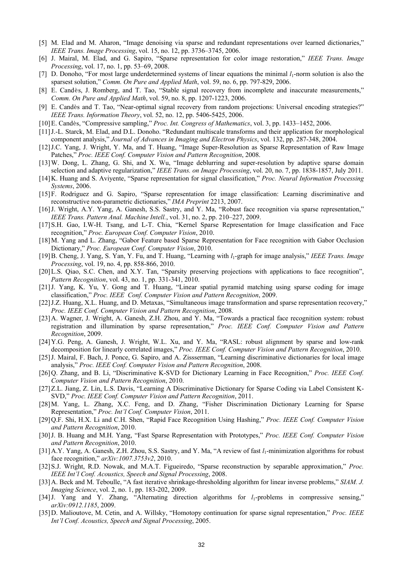- [5] M. Elad and M. Aharon, "Image denoising via sparse and redundant representations over learned dictionaries," *IEEE Trans. Image Processing*, vol. 15, no. 12, pp. 3736–3745, 2006.
- [6] J. Mairal, M. Elad, and G. Sapiro, "Sparse representation for color image restoration," *IEEE Trans. Image Processing*, vol. 17, no. 1, pp. 53–69, 2008.
- [7] D. Donoho, "For most large underdetermined systems of linear equations the minimal *l*1-norm solution is also the sparsest solution," *Comm. On Pure and Applied Math*, vol. 59, no. 6, pp. 797-829, 2006.
- [8] E. Candès, J. Romberg, and T. Tao, "Stable signal recovery from incomplete and inaccurate measurements," *Comm. On Pure and Applied Math*, vol. 59, no. 8, pp. 1207-1223, 2006.
- [9] E. Candès and T. Tao, "Near-optimal signal recovery from random projections: Universal encoding strategies?" *IEEE Trans. Information Theory*, vol. 52, no. 12, pp. 5406-5425, 2006.
- [10]E. Candès, "Compressive sampling," *Proc. Int. Congress of Mathematics*, vol. 3, pp. 1433–1452, 2006.
- [11]J.-L. Starck, M. Elad, and D.L. Donoho. "Redundant multiscale transforms and their application for morphological component analysis," *Journal of Advances in Imaging and Electron Physics*, vol. 132, pp. 287-348, 2004.
- [12]J.C. Yang, J. Wright, Y. Ma, and T. Huang, "Image Super-Resolution as Sparse Representation of Raw Image Patches," *Proc. IEEE Conf. Computer Vision and Pattern Recognition*, 2008.
- [13]W. Dong, L. Zhang, G. Shi, and X. Wu, "Image deblurring and super-resolution by adaptive sparse domain selection and adaptive regularization," *IEEE Trans. on Image Processing*, vol. 20, no. 7, pp. 1838-1857, July 2011.
- [14]K. Huang and S. Aviyente, "Sparse representation for signal classification," *Proc. Neural Information Processing Systems*, 2006.
- [15]F. Rodriguez and G. Sapiro, "Sparse representation for image classification: Learning discriminative and reconstructive non-parametric dictionaries," *IMA Preprint* 2213, 2007.
- [16]J. Wright, A.Y. Yang, A. Ganesh, S.S. Sastry, and Y. Ma, "Robust face recognition via sparse representation," *IEEE Trans. Pattern Anal. Machine Intell.*, vol. 31, no. 2, pp. 210–227, 2009.
- [17]S.H. Gao, I.W-H. Tsang, and L-T. Chia, "Kernel Sparse Representation for Image classification and Face recognition," *Proc. European Conf. Computer Vision*, 2010.
- [18]M. Yang and L. Zhang, "Gabor Feature based Sparse Representation for Face recognition with Gabor Occlusion Dictionary," *Proc. European Conf. Computer Vision*, 2010.
- [19]B. Cheng, J. Yang, S. Yan, Y. Fu, and T. Huang, "Learning with *l*1-graph for image analysis," *IEEE Trans. Image Processing*, vol. 19, no. 4, pp. 858-866, 2010.
- [20]L.S. Qiao, S.C. Chen, and X.Y. Tan, "Sparsity preserving projections with applications to face recognition", *Pattern Recognition*, vol. 43, no. 1, pp. 331-341, 2010.
- [21]J. Yang, K. Yu, Y. Gong and T. Huang, "Linear spatial pyramid matching using sparse coding for image classification," *Proc. IEEE Conf. Computer Vision and Pattern Recognition*, 2009.
- [22] J.Z. Huang, X.L. Huang, and D. Metaxas, "Simultaneous image transformation and sparse representation recovery," *Proc. IEEE Conf. Computer Vision and Pattern Recognition*, 2008.
- [23]A. Wagner, J. Wright, A. Ganesh, Z.H. Zhou, and Y. Ma, "Towards a practical face recognition system: robust registration and illumination by sparse representation," *Proc. IEEE Conf. Computer Vision and Pattern Recognition*, 2009.
- [24]Y.G. Peng, A. Ganesh, J. Wright, W.L. Xu, and Y. Ma, "RASL: robust alignment by sparse and low-rank decomposition for linearly correlated images," *Proc. IEEE Conf. Computer Vision and Pattern Recognition*, 2010.
- [25]J. Mairal, F. Bach, J. Ponce, G. Sapiro, and A. Zissserman, "Learning discriminative dictionaries for local image analysis," *Proc. IEEE Conf. Computer Vision and Pattern Recognition*, 2008.
- [26]Q. Zhang, and B. Li, "Discriminative K-SVD for Dictionary Learning in Face Recognition," *Proc. IEEE Conf. Computer Vision and Pattern Recognition*, 2010.
- [27]Z.L. Jiang, Z. Lin, L.S. Davis, "Learning A Discriminative Dictionary for Sparse Coding via Label Consistent K-SVD," *Proc. IEEE Conf. Computer Vision and Pattern Recognition*, 2011.
- [28]M. Yang, L. Zhang, X.C. Feng, and D. Zhang, "Fisher Discrimination Dictionary Learning for Sparse Representation," *Proc. Int'l Conf. Computer Vision*, 2011.
- [29]Q.F. Shi, H.X. Li and C.H. Shen, "Rapid Face Recognition Using Hashing," *Proc. IEEE Conf. Computer Vision and Pattern Recognition*, 2010.
- [30]J. B. Huang and M.H. Yang, "Fast Sparse Representation with Prototypes," *Proc. IEEE Conf. Computer Vision and Pattern Recognition*, 2010.
- [31]A.Y. Yang, A. Ganesh, Z.H. Zhou, S.S. Sastry, and Y. Ma, "A review of fast *l*1-minimization algorithms for robust face recognition," *arXiv:1007.3753v2*, 2010.
- [32]S.J. Wright, R.D. Nowak, and M.A.T. Figueiredo, "Sparse reconstruction by separable approximation," *Proc. IEEE Int'l Conf. Acoustics, Speech and Signal Processing*, 2008.
- [33]A. Beck and M. Teboulle, "A fast iterative shrinkage-thresholding algorithm for linear inverse problems," *SIAM. J. Imaging Science*, vol. 2, no. 1, pp. 183-202, 2009.
- [34] J. Yang and Y. Zhang, "Alternating direction algorithms for *l*<sub>1</sub>-problems in compressive sensing," *arXiv:0912.1185*, 2009.
- [35]D. Malioutove, M. Cetin, and A. Willsky, "Homotopy continuation for sparse signal representation," *Proc. IEEE Int'l Conf. Acoustics, Speech and Signal Processing*, 2005.